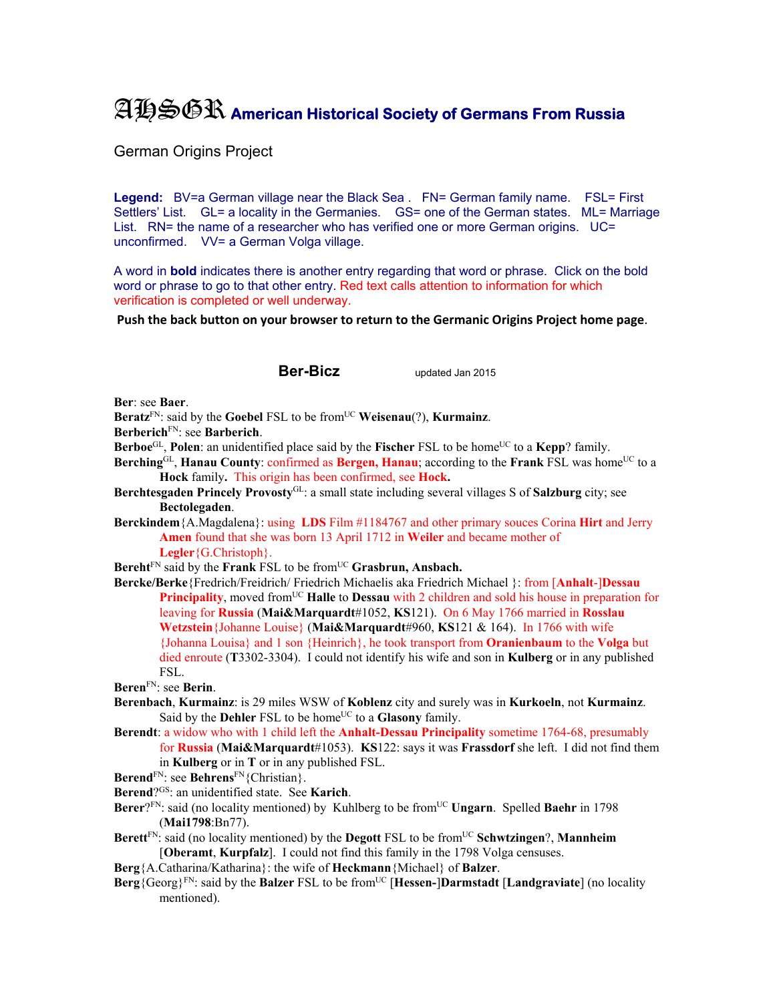## AHSGR **American Historical Society of Germans From Russia**

German Origins Project

Legend: BV=a German village near the Black Sea . FN= German family name. FSL= First Settlers' List. GL= a locality in the Germanies. GS= one of the German states. ML= Marriage List. RN= the name of a researcher who has verified one or more German origins. UC= unconfirmed. VV= a German Volga village.

A word in **bold** indicates there is another entry regarding that word or phrase. Click on the bold word or phrase to go to that other entry. Red text calls attention to information for which verification is completed or well underway.

**Push the back button on your browser to return to the Germanic Origins Project home page**.

**Ber-Bicz** updated Jan 2015

**Ber**: see **Baer**.

**Beratz**FN: said by the **Goebel** FSL to be fromUC **Weisenau**(?), **Kurmainz**.

**Berberich**FN: see **Barberich**.

**Berboe**<sup>GL</sup>, **Polen**: an unidentified place said by the **Fischer** FSL to be home<sup>UC</sup> to a **Kepp**? family.

- **Berching**<sup>GL</sup>, **Hanau County**: confirmed as **Bergen, Hanau**; according to the **Frank** FSL was home<sup>UC</sup> to a **Hock** family**.** This origin has been confirmed, see **Hock.**
- **Berchtesgaden Princely Provosty**GL: a small state including several villages S of **Salzburg** city; see **Bectolegaden**.
- **Berckindem**{A.Magdalena}: using **LDS** Film #1184767 and other primary souces Corina **Hirt** and Jerry **Amen** found that she was born 13 April 1712 in **Weiler** and became mother of **Legler**{G.Christoph}.

Bereht<sup>FN</sup> said by the **Frank** FSL to be from<sup>UC</sup> Grasbrun, Ansbach.

**Bercke/Berke**{Fredrich/Freidrich/ Friedrich Michaelis aka Friedrich Michael }: from [**Anhalt**-]**Dessau Principality**, moved from<sup>UC</sup> **Halle** to **Dessau** with 2 children and sold his house in preparation for leaving for **Russia** (**Mai&Marquardt**#1052, **KS**121). On 6 May 1766 married in **Rosslau Wetzstein**{Johanne Louise} (**Mai&Marquardt**#960, **KS**121 & 164). In 1766 with wife {Johanna Louisa} and 1 son {Heinrich}, he took transport from **Oranienbaum** to the **Volga** but died enroute (**T**3302-3304). I could not identify his wife and son in **Kulberg** or in any published FSL.

**Beren**FN: see **Berin**.

- **Berenbach**, **Kurmainz**: is 29 miles WSW of **Koblenz** city and surely was in **Kurkoeln**, not **Kurmainz**. Said by the **Dehler** FSL to be home<sup>UC</sup> to a **Glasony** family.
- **Berendt**: a widow who with 1 child left the **Anhalt-Dessau Principality** sometime 1764-68, presumably for **Russia** (**Mai&Marquardt**#1053). **KS**122: says it was **Frassdorf** she left. I did not find them

in **Kulberg** or in **T** or in any published FSL.

- **Berend**<sup>FN</sup>: see **Behrens**<sup>FN</sup>{Christian}.
- **Berend**?GS: an unidentified state. See **Karich**.
- Berer?<sup>FN</sup>: said (no locality mentioned) by Kuhlberg to be from<sup>UC</sup> Ungarn. Spelled Baehr in 1798 (**Mai1798**:Bn77).
- **Berett**FN: said (no locality mentioned) by the **Degott** FSL to be fromUC **Schwtzingen**?, **Mannheim** [**Oberamt**, **Kurpfalz**]. I could not find this family in the 1798 Volga censuses.
- **Berg**{A.Catharina/Katharina}: the wife of **Heckmann**{Michael} of **Balzer**.
- **Berg**{Georg}<sup>FN</sup>: said by the **Balzer** FSL to be from<sup>UC</sup> [**Hessen-**]Darmstadt [Landgraviate] (no locality mentioned).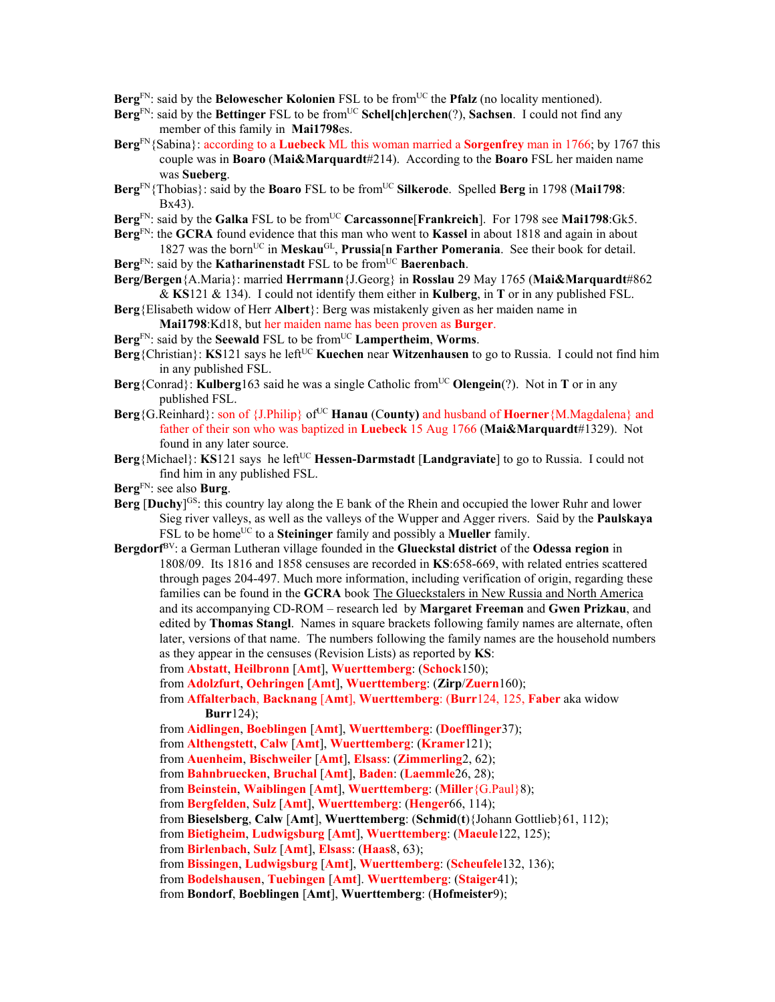- **Berg**<sup>FN</sup>: said by the **Belowescher Kolonien** FSL to be from<sup>UC</sup> the **Pfalz** (no locality mentioned).
- Berg<sup>FN</sup>: said by the Bettinger FSL to be from<sup>UC</sup> Schel[ch]erchen(?), Sachsen. I could not find any member of this family in **Mai1798**es.
- **Berg**FN{Sabina}: according to a **Luebeck** ML this woman married a **Sorgenfrey** man in 1766; by 1767 this couple was in **Boaro** (**Mai&Marquardt**#214). According to the **Boaro** FSL her maiden name was **Sueberg**.
- **Berg**<sup>FN</sup>{Thobias}: said by the **Boaro** FSL to be from<sup>UC</sup> **Silkerode**. Spelled **Berg** in 1798 (**Mai1798**: Bx43).
- **Berg**FN: said by the **Galka** FSL to be fromUC **Carcassonne**[**Frankreich**]. For 1798 see **Mai1798**:Gk5.
- **Berg**FN: the **GCRA** found evidence that this man who went to **Kassel** in about 1818 and again in about 1827 was the bornUC in **Meskau**GL, **Prussia**[**n Farther Pomerania**. See their book for detail.

**Berg**<sup>FN</sup>: said by the **Katharinenstadt** FSL to be from<sup>UC</sup> **Baerenbach**.

- **Berg/Bergen**{A.Maria}: married **Herrmann**{J.Georg} in **Rosslau** 29 May 1765 (**Mai&Marquardt**#862
- & **KS**121 & 134). I could not identify them either in **Kulberg**, in **T** or in any published FSL. **Berg**{Elisabeth widow of Herr **Albert**}: Berg was mistakenly given as her maiden name in
	- **Mai1798**:Kd18, but her maiden name has been proven as **Burger**.
- **Berg**FN: said by the **Seewald** FSL to be fromUC **Lampertheim**, **Worms**.
- **Berg**{Christian}: **KS**121 says he left<sup>UC</sup> **Kuechen** near **Witzenhausen** to go to Russia. I could not find him in any published FSL.
- **Berg**{Conrad}: **Kulberg**163 said he was a single Catholic from<sup>UC</sup> Olengein(?). Not in **T** or in any published FSL.
- **Berg**{G.Reinhard}: son of {J.Philip} of<sup>UC</sup> **Hanau** (County) and husband of **Hoerner**{M.Magdalena} and father of their son who was baptized in **Luebeck** 15 Aug 1766 (**Mai&Marquardt**#1329). Not found in any later source.
- **Berg**{Michael}: **KS**121 says he left<sup>UC</sup> **Hessen-Darmstadt** [Landgraviate] to go to Russia. I could not find him in any published FSL.
- **Berg**FN: see also **Burg**.
- **Berg**  $[Duchy]$ <sup>GS</sup>: this country lay along the E bank of the Rhein and occupied the lower Ruhr and lower Sieg river valleys, as well as the valleys of the Wupper and Agger rivers. Said by the **Paulskaya** FSL to be home<sup>UC</sup> to a **Steininger** family and possibly a **Mueller** family.
- **Bergdorf**BV: a German Lutheran village founded in the **Glueckstal district** of the **Odessa region** in 1808/09. Its 1816 and 1858 censuses are recorded in **KS**:658-669, with related entries scattered through pages 204-497. Much more information, including verification of origin, regarding these families can be found in the **GCRA** book The Glueckstalers in New Russia and North America and its accompanying CD-ROM – research led by **Margaret Freeman** and **Gwen Prizkau**, and edited by **Thomas Stangl**. Names in square brackets following family names are alternate, often later, versions of that name. The numbers following the family names are the household numbers as they appear in the censuses (Revision Lists) as reported by **KS**:
	- from **Abstatt**, **Heilbronn** [**Amt**], **Wuerttemberg**: (**Schock**150);
	- from **Adolzfurt**, **Oehringen** [**Amt**], **Wuerttemberg**: (**Zirp**/**Zuern**160);
	- from **Affalterbach**, **Backnang** [**Amt**], **Wuerttemberg**: (**Burr**124, 125, **Faber** aka widow **Burr**124);
	- from **Aidlingen**, **Boeblingen** [**Amt**], **Wuerttemberg**: (**Doefflinger**37);
	- from **Althengstett**, **Calw** [**Amt**], **Wuerttemberg**: (**Kramer**121);
	- from **Auenheim**, **Bischweiler** [**Amt**], **Elsass**: (**Zimmerling**2, 62);
	- from **Bahnbruecken**, **Bruchal** [**Amt**], **Baden**: (**Laemmle**26, 28);
	- from **Beinstein**, **Waiblingen** [**Amt**], **Wuerttemberg**: (**Miller**{G.Paul}8);
	- from **Bergfelden**, **Sulz** [**Amt**], **Wuerttemberg**: (**Henger**66, 114);
	- from **Bieselsberg**, **Calw** [**Amt**], **Wuerttemberg**: (**Schmid**(**t**){Johann Gottlieb}61, 112);
	- from **Bietigheim**, **Ludwigsburg** [**Amt**], **Wuerttemberg**: (**Maeule**122, 125);
	- from **Birlenbach**, **Sulz** [**Amt**], **Elsass**: (**Haas**8, 63);
	- from **Bissingen**, **Ludwigsburg** [**Amt**], **Wuerttemberg**: (**Scheufele**132, 136);
	- from **Bodelshausen**, **Tuebingen** [**Amt**]. **Wuerttemberg**: (**Staiger**41);
	- from **Bondorf**, **Boeblingen** [**Amt**], **Wuerttemberg**: (**Hofmeister**9);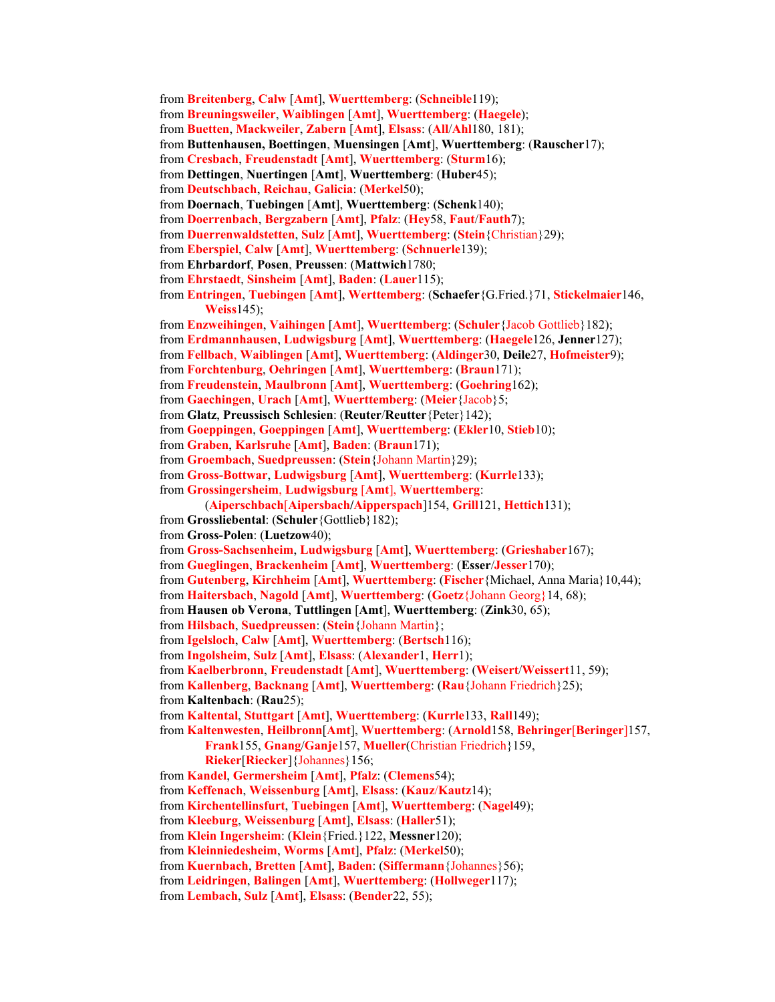- from **Breitenberg**, **Calw** [**Amt**], **Wuerttemberg**: (**Schneible**119);
- from **Breuningsweiler**, **Waiblingen** [**Amt**], **Wuerttemberg**: (**Haegele**);
- from **Buetten**, **Mackweiler**, **Zabern** [**Amt**], **Elsass**: (**All**/**Ahl**180, 181);
- from **Buttenhausen, Boettingen**, **Muensingen** [**Amt**], **Wuerttemberg**: (**Rauscher**17);
- from **Cresbach**, **Freudenstadt** [**Amt**], **Wuerttemberg**: (**Sturm**16);
- from **Dettingen**, **Nuertingen** [**Amt**], **Wuerttemberg**: (**Huber**45);
- from **Deutschbach**, **Reichau**, **Galicia**: (**Merkel**50);
- from **Doernach**, **Tuebingen** [**Amt**], **Wuerttemberg**: (**Schenk**140);
- from **Doerrenbach**, **Bergzabern** [**Amt**], **Pfalz**: (**Hey**58, **Faut**/**Fauth**7);
- from **Duerrenwaldstetten**, **Sulz** [**Amt**], **Wuerttemberg**: (**Stein**{Christian}29);
- from **Eberspiel**, **Calw** [**Amt**], **Wuerttemberg**: (**Schnuerle**139);
- from **Ehrbardorf**, **Posen**, **Preussen**: (**Mattwich**1780;
- from **Ehrstaedt**, **Sinsheim** [**Amt**], **Baden**: (**Lauer**115);
- from **Entringen**, **Tuebingen** [**Amt**], **Werttemberg**: (**Schaefer**{G.Fried.}71, **Stickelmaier**146, **Weiss**145);
- from **Enzweihingen**, **Vaihingen** [**Amt**], **Wuerttemberg**: (**Schuler**{Jacob Gottlieb}182);
- from **Erdmannhausen**, **Ludwigsburg** [**Amt**], **Wuerttemberg**: (**Haegele**126, **Jenner**127);
- from **Fellbach**, **Waiblingen** [**Amt**], **Wuerttemberg**: (**Aldinger**30, **Deile**27, **Hofmeister**9);
- from **Forchtenburg**, **Oehringen** [**Amt**], **Wuerttemberg**: (**Braun**171);
- from **Freudenstein**, **Maulbronn** [**Amt**], **Wuerttemberg**: (**Goehring**162);
- from **Gaechingen**, **Urach** [**Amt**], **Wuerttemberg**: (**Meier**{Jacob}5;
- from **Glatz**, **Preussisch Schlesien**: (**Reuter**/**Reutter**{Peter}142);
- from **Goeppingen**, **Goeppingen** [**Amt**], **Wuerttemberg**: (**Ekler**10, **Stieb**10);
- from **Graben**, **Karlsruhe** [**Amt**], **Baden**: (**Braun**171);
- from **Groembach**, **Suedpreussen**: (**Stein**{Johann Martin}29);
- from **Gross-Bottwar**, **Ludwigsburg** [**Amt**], **Wuerttemberg**: (**Kurrle**133);
- from **Grossingersheim**, **Ludwigsburg** [**Amt**], **Wuerttemberg**:
	- (**Aiperschbach**[**Aipersbach/Aipperspach**]154, **Grill**121, **Hettich**131);
- from **Grossliebental**: (**Schuler**{Gottlieb}182);
- from **Gross-Polen**: (**Luetzow**40);
- from **Gross-Sachsenheim**, **Ludwigsburg** [**Amt**], **Wuerttemberg**: (**Grieshaber**167);
- from **Gueglingen**, **Brackenheim** [**Amt**], **Wuerttemberg**: (**Esser**/**Jesser**170);
- from **Gutenberg**, **Kirchheim** [**Amt**], **Wuerttemberg**: (**Fischer**{Michael, Anna Maria}10,44);
- from **Haitersbach**, **Nagold** [**Amt**], **Wuerttemberg**: (**Goetz**{Johann Georg}14, 68);
- from **Hausen ob Verona**, **Tuttlingen** [**Amt**], **Wuerttemberg**: (**Zink**30, 65);
- from **Hilsbach**, **Suedpreussen**: (**Stein**{Johann Martin};
- from **Igelsloch**, **Calw** [**Amt**], **Wuerttemberg**: (**Bertsch**116);
- from **Ingolsheim**, **Sulz** [**Amt**], **Elsass**: (**Alexander**1, **Herr**1);
- from **Kaelberbronn**, **Freudenstadt** [**Amt**], **Wuerttemberg**: (**Weisert**/**Weissert**11, 59);
- from **Kallenberg**, **Backnang** [**Amt**], **Wuerttemberg**: (**Rau**{Johann Friedrich}25); from **Kaltenbach**: (**Rau**25);
- from **Kaltental**, **Stuttgart** [**Amt**], **Wuerttemberg**: (**Kurrle**133, **Rall**149);
- from **Kaltenwesten**, **Heilbronn**[**Amt**], **Wuerttemberg**: (**Arnold**158, **Behringer**[**Beringer**]157, **Frank**155, **Gnang**/**Ganje**157, **Mueller**(Christian Friedrich}159,
	- **Rieker**[**Riecker**]{Johannes}156;
- from **Kandel**, **Germersheim** [**Amt**], **Pfalz**: (**Clemens**54);
- from **Keffenach**, **Weissenburg** [**Amt**], **Elsass**: (**Kauz**/**Kautz**14);
- from **Kirchentellinsfurt**, **Tuebingen** [**Amt**], **Wuerttemberg**: (**Nagel**49);
- from **Kleeburg**, **Weissenburg** [**Amt**], **Elsass**: (**Haller**51);
- from **Klein Ingersheim**: (**Klein**{Fried.}122, **Messner**120);
- from **Kleinniedesheim**, **Worms** [**Amt**], **Pfalz**: (**Merkel**50);
- from **Kuernbach**, **Bretten** [**Amt**], **Baden**: (**Siffermann**{Johannes}56);
- from **Leidringen**, **Balingen** [**Amt**], **Wuerttemberg**: (**Hollweger**117);
- from **Lembach**, **Sulz** [**Amt**], **Elsass**: (**Bender**22, 55);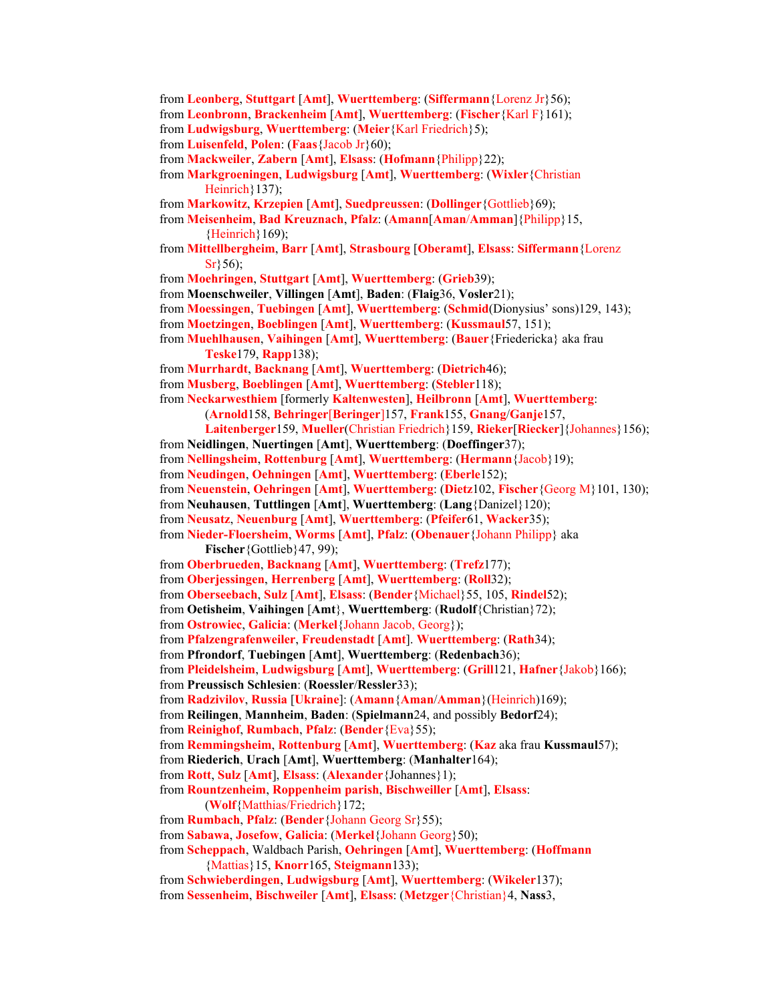- from **Leonberg**, **Stuttgart** [**Amt**], **Wuerttemberg**: (**Siffermann**{Lorenz Jr}56);
- from **Leonbronn**, **Brackenheim** [**Amt**], **Wuerttemberg**: (**Fischer**{Karl F}161);
- from **Ludwigsburg**, **Wuerttemberg**: (**Meier**{Karl Friedrich}5);

from **Luisenfeld**, **Polen**: (**Faas**{Jacob Jr}60);

- from **Mackweiler**, **Zabern** [**Amt**], **Elsass**: (**Hofmann**{Philipp}22);
- from **Markgroeningen**, **Ludwigsburg** [**Amt**], **Wuerttemberg**: (**Wixler**{Christian Heinrich } 137);
- from **Markowitz**, **Krzepien** [**Amt**], **Suedpreussen**: (**Dollinger**{Gottlieb}69);
- from **Meisenheim**, **Bad Kreuznach**, **Pfalz**: (**Amann**[**Aman**/**Amman**]{Philipp}15,  ${Heinrich}169$ ;
- from **Mittellbergheim**, **Barr** [**Amt**], **Strasbourg** [**Oberamt**], **Elsass**: **Siffermann**{Lorenz  $Sr$ }56);
- from **Moehringen**, **Stuttgart** [**Amt**], **Wuerttemberg**: (**Grieb**39);
- from **Moenschweiler**, **Villingen** [**Amt**], **Baden**: (**Flaig**36, **Vosler**21);
- from **Moessingen**, **Tuebingen** [**Amt**], **Wuerttemberg**: (**Schmid**(Dionysius' sons)129, 143);

from **Moetzingen**, **Boeblingen** [**Amt**], **Wuerttemberg**: (**Kussmaul**57, 151);

- from **Muehlhausen**, **Vaihingen** [**Amt**], **Wuerttemberg**: (**Bauer**{Friedericka} aka frau **Teske**179, **Rapp**138);
- from **Murrhardt**, **Backnang** [**Amt**], **Wuerttemberg**: (**Dietrich**46);
- from **Musberg**, **Boeblingen** [**Amt**], **Wuerttemberg**: (**Stebler**118);

from **Neckarwesthiem** [formerly **Kaltenwesten**], **Heilbronn** [**Amt**], **Wuerttemberg**:

(**Arnold**158, **Behringer**[**Beringer**]157, **Frank**155, **Gnang**/**Ganje**157,

- **Laitenberger**159, **Mueller**(Christian Friedrich}159, **Rieker**[**Riecker**]{Johannes}156);
- from **Neidlingen**, **Nuertingen** [**Amt**], **Wuerttemberg**: (**Doeffinger**37);
- from **Nellingsheim**, **Rottenburg** [**Amt**], **Wuerttemberg**: (**Hermann**{Jacob}19);
- from **Neudingen**, **Oehningen** [**Amt**], **Wuerttemberg**: (**Eberle**152);
- from **Neuenstein**, **Oehringen** [**Amt**], **Wuerttemberg**: (**Dietz**102, **Fischer**{Georg M}101, 130);
- from **Neuhausen**, **Tuttlingen** [**Amt**], **Wuerttemberg**: (**Lang**{Danizel}120);
- from **Neusatz**, **Neuenburg** [**Amt**], **Wuerttemberg**: (**Pfeifer**61, **Wacker**35);

from **Nieder-Floersheim**, **Worms** [**Amt**], **Pfalz**: (**Obenauer**{Johann Philipp} aka **Fischer**{Gottlieb}47, 99);

- from **Oberbrueden**, **Backnang** [**Amt**], **Wuerttemberg**: (**Trefz**177);
- from **Oberjessingen**, **Herrenberg** [**Amt**], **Wuerttemberg**: (**Roll**32);
- from **Oberseebach**, **Sulz** [**Amt**], **Elsass**: (**Bender**{Michael}55, 105, **Rindel**52);
- from **Oetisheim**, **Vaihingen** [**Amt**}, **Wuerttemberg**: (**Rudolf**{Christian}72);
- from **Ostrowiec**, **Galicia**: (**Merkel**{Johann Jacob, Georg});
- from **Pfalzengrafenweiler**, **Freudenstadt** [**Amt**]. **Wuerttemberg**: (**Rath**34);
- from **Pfrondorf**, **Tuebingen** [**Amt**], **Wuerttemberg**: (**Redenbach**36);
- from **Pleidelsheim**, **Ludwigsburg** [**Amt**], **Wuerttemberg**: (**Grill**121, **Hafner**{Jakob}166);
- from **Preussisch Schlesien**: (**Roessler**/**Ressler**33);
- from **Radzivilov**, **Russia** [**Ukraine**]: (**Amann**{**Aman**/**Amman**}(Heinrich)169);
- from **Reilingen**, **Mannheim**, **Baden**: (**Spielmann**24, and possibly **Bedorf**24);
- from **Reinighof**, **Rumbach**, **Pfalz**: (**Bender**{Eva}55);

from **Remmingsheim**, **Rottenburg** [**Amt**], **Wuerttemberg**: (**Kaz** aka frau **Kussmaul**57);

- from **Riederich**, **Urach** [**Amt**], **Wuerttemberg**: (**Manhalter**164);
- from **Rott**, **Sulz** [**Amt**], **Elsass**: (**Alexander**{Johannes}1);

from **Rountzenheim**, **Roppenheim parish**, **Bischweiller** [**Amt**], **Elsass**:

- (**Wolf**{Matthias/Friedrich}172;
- from **Rumbach**, **Pfalz**: (**Bender**{Johann Georg Sr}55);
- from **Sabawa**, **Josefow**, **Galicia**: (**Merkel**{Johann Georg}50);
- from **Scheppach**, Waldbach Parish, **Oehringen** [**Amt**], **Wuerttemberg**: (**Hoffmann**  {Mattias}15, **Knorr**165, **Steigmann**133);
- from **Schwieberdingen**, **Ludwigsburg** [**Amt**], **Wuerttemberg**: (**Wikeler**137); from **Sessenheim**, **Bischweiler** [**Amt**], **Elsass**: (**Metzger**{Christian}4, **Nass**3,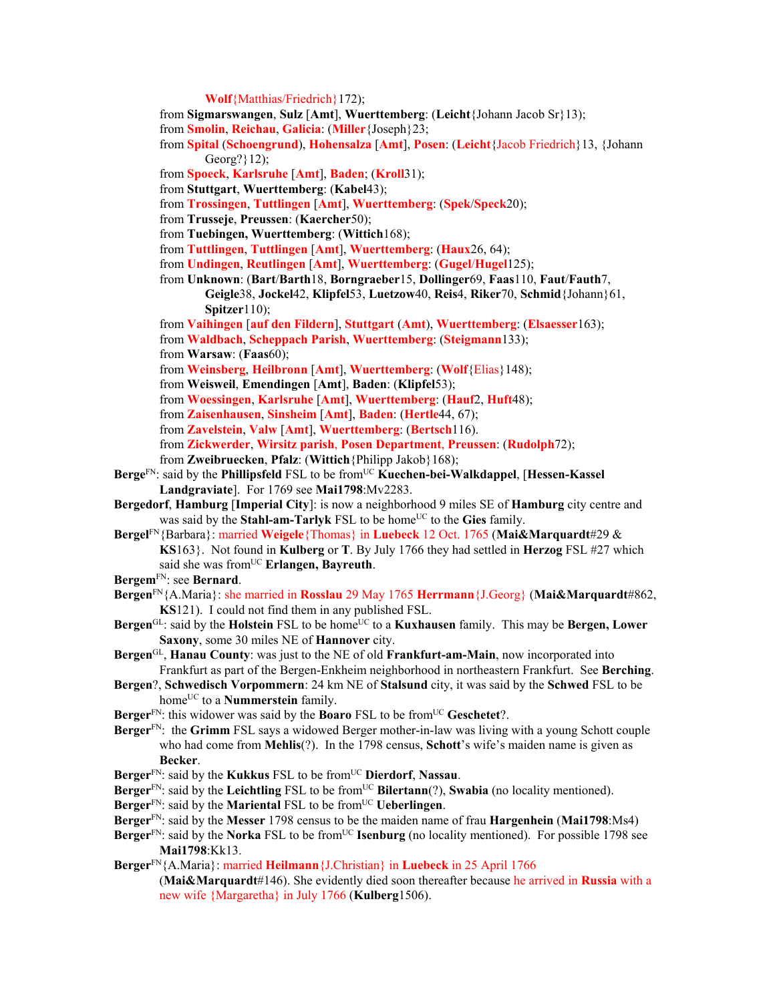**Wolf**{Matthias/Friedrich}172);

- from **Sigmarswangen**, **Sulz** [**Amt**], **Wuerttemberg**: (**Leicht**{Johann Jacob Sr}13);
- from **Smolin**, **Reichau**, **Galicia**: (**Miller**{Joseph}23;
- from **Spital** (**Schoengrund**), **Hohensalza** [**Amt**], **Posen**: (**Leicht**{Jacob Friedrich}13, {Johann Georg?}12);
- from **Spoeck**, **Karlsruhe** [**Amt**], **Baden**; (**Kroll**31);
- from **Stuttgart**, **Wuerttemberg**: (**Kabel**43);
- from **Trossingen**, **Tuttlingen** [**Amt**], **Wuerttemberg**: (**Spek**/**Speck**20);
- from **Trusseje**, **Preussen**: (**Kaercher**50);
- from **Tuebingen, Wuerttemberg**: (**Wittich**168);
- from **Tuttlingen**, **Tuttlingen** [**Amt**], **Wuerttemberg**: (**Haux**26, 64);
- from **Undingen**, **Reutlingen** [**Amt**], **Wuerttemberg**: (**Gugel**/**Hugel**125);
- from **Unknown**: (**Bart**/**Barth**18, **Borngraeber**15, **Dollinger**69, **Faas**110, **Faut**/**Fauth**7,
	- **Geigle**38, **Jockel**42, **Klipfel**53, **Luetzow**40, **Reis**4, **Riker**70, **Schmid**{Johann}61, **Spitzer**110);
- from **Vaihingen** [**auf den Fildern**], **Stuttgart** (**Amt**), **Wuerttemberg**: (**Elsaesser**163); from **Waldbach**, **Scheppach Parish**, **Wuerttemberg**: (**Steigmann**133);
- from **Warsaw**: (**Faas**60);
- from **Weinsberg**, **Heilbronn** [**Amt**], **Wuerttemberg**: (**Wolf**{Elias}148);
- from **Weisweil**, **Emendingen** [**Amt**], **Baden**: (**Klipfel**53);
- from **Woessingen**, **Karlsruhe** [**Amt**], **Wuerttemberg**: (**Hauf**2, **Huft**48);
- from **Zaisenhausen**, **Sinsheim** [**Amt**], **Baden**: (**Hertle**44, 67);
- from **Zavelstein**, **Valw** [**Amt**], **Wuerttemberg**: (**Bertsch**116).
- from **Zickwerder**, **Wirsitz parish**, **Posen Department**, **Preussen**: (**Rudolph**72);
- from **Zweibruecken**, **Pfalz**: (**Wittich**{Philipp Jakob}168);
- Berge<sup>FN</sup>: said by the **Phillipsfeld** FSL to be from<sup>UC</sup> **Kuechen-bei-Walkdappel**, [Hessen-Kassel] **Landgraviate**]. For 1769 see **Mai1798**:Mv2283.
- **Bergedorf**, **Hamburg** [**Imperial City**]: is now a neighborhood 9 miles SE of **Hamburg** city centre and was said by the **Stahl-am-Tarlyk** FSL to be home<sup>UC</sup> to the Gies family.
- **Bergel**FN{Barbara}: married **Weigele**{Thomas} in **Luebeck** 12 Oct. 1765 (**Mai&Marquardt**#29 & **KS**163}. Not found in **Kulberg** or **T**. By July 1766 they had settled in **Herzog** FSL #27 which said she was from<sup>UC</sup> Erlangen, Bayreuth.
- **Bergem**FN: see **Bernard**.
- **Bergen**FN{A.Maria}: she married in **Rosslau** 29 May 1765 **Herrmann**{J.Georg} (**Mai&Marquardt**#862, **KS**121). I could not find them in any published FSL.
- **Bergen**<sup>GL</sup>: said by the **Holstein** FSL to be home<sup>UC</sup> to a **Kuxhausen** family. This may be **Bergen, Lower Saxony**, some 30 miles NE of **Hannover** city.
- **Bergen**GL, **Hanau County**: was just to the NE of old **Frankfurt-am-Main**, now incorporated into Frankfurt as part of the Bergen-Enkheim neighborhood in northeastern Frankfurt. See **Berching**.
- **Bergen**?, **Schwedisch Vorpommern**: 24 km NE of **Stalsund** city, it was said by the **Schwed** FSL to be home<sup>UC</sup> to a **Nummerstein** family.
- **Berger**<sup>FN</sup>: this widower was said by the **Boaro** FSL to be from<sup>UC</sup> **Geschetet**?.
- **Berger**FN: the **Grimm** FSL says a widowed Berger mother-in-law was living with a young Schott couple who had come from **Mehlis**(?). In the 1798 census, **Schott**'s wife's maiden name is given as **Becker**.
- **Berger**FN: said by the **Kukkus** FSL to be fromUC **Dierdorf**, **Nassau**.
- Berger<sup>FN</sup>: said by the Leichtling FSL to be from<sup>UC</sup> Bilertann(?), Swabia (no locality mentioned).
- **Berger**FN: said by the **Mariental** FSL to be fromUC **Ueberlingen**.
- **Berger**FN: said by the **Messer** 1798 census to be the maiden name of frau **Hargenhein** (**Mai1798**:Ms4)
- Berger<sup>FN</sup>: said by the Norka FSL to be from<sup>UC</sup> Isenburg (no locality mentioned). For possible 1798 see **Mai1798**:Kk13.
- **Berger**FN{A.Maria}: married **Heilmann**{J.Christian} in **Luebeck** in 25 April 1766
	- (**Mai&Marquardt**#146). She evidently died soon thereafter because he arrived in **Russia** with a new wife {Margaretha} in July 1766 (**Kulberg**1506).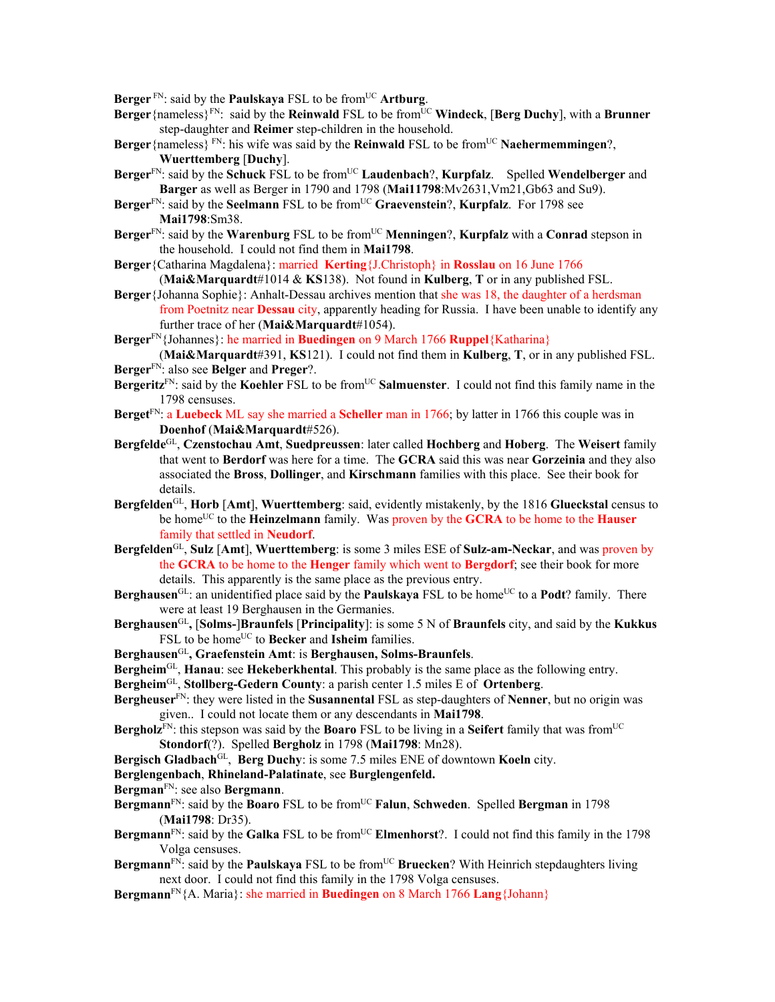**Berger**<sup>FN</sup>: said by the **Paulskaya** FSL to be from<sup>UC</sup> Artburg.

- **Berger**{nameless}<sup>FN</sup>: said by the **Reinwald** FSL to be from<sup>UC</sup> **Windeck**, [Berg Duchy], with a Brunner step-daughter and **Reimer** step-children in the household.
- Berger {nameless}<sup>FN</sup>: his wife was said by the **Reinwald** FSL to be from<sup>UC</sup> **Naehermemmingen**?. **Wuerttemberg** [**Duchy**].
- Berger<sup>FN</sup>: said by the Schuck FSL to be from<sup>UC</sup> Laudenbach?, **Kurpfalz**. Spelled Wendelberger and **Barger** as well as Berger in 1790 and 1798 (**Mai11798**:Mv2631,Vm21,Gb63 and Su9).
- **Berger**FN: said by the **Seelmann** FSL to be fromUC **Graevenstein**?, **Kurpfalz**. For 1798 see **Mai1798**:Sm38.
- **Berger**<sup>FN</sup>: said by the **Warenburg** FSL to be from<sup>UC</sup> **Menningen**?, **Kurpfalz** with a **Conrad** stepson in the household. I could not find them in **Mai1798**.
- **Berger**{Catharina Magdalena}: married **Kerting**{J.Christoph} in **Rosslau** on 16 June 1766 (**Mai&Marquardt**#1014 & **KS**138). Not found in **Kulberg**, **T** or in any published FSL.
- **Berger**{Johanna Sophie}: Anhalt-Dessau archives mention that she was 18, the daughter of a herdsman from Poetnitz near **Dessau** city, apparently heading for Russia. I have been unable to identify any further trace of her (**Mai&Marquardt**#1054).

**Berger**FN{Johannes}: he married in **Buedingen** on 9 March 1766 **Ruppel**{Katharina}

(**Mai&Marquardt**#391, **KS**121). I could not find them in **Kulberg**, **T**, or in any published FSL. **Berger**FN: also see **Belger** and **Preger**?.

- **Bergeritz**<sup>FN</sup>: said by the **Koehler** FSL to be from<sup>UC</sup> **Salmuenster**. I could not find this family name in the 1798 censuses.
- **Berget**FN: a **Luebeck** ML say she married a **Scheller** man in 1766; by latter in 1766 this couple was in **Doenhof** (**Mai&Marquardt**#526).
- **Bergfelde**GL, **Czenstochau Amt**, **Suedpreussen**: later called **Hochberg** and **Hoberg**. The **Weisert** family that went to **Berdorf** was here for a time. The **GCRA** said this was near **Gorzeinia** and they also associated the **Bross**, **Dollinger**, and **Kirschmann** families with this place. See their book for details.
- **Bergfelden**GL, **Horb** [**Amt**], **Wuerttemberg**: said, evidently mistakenly, by the 1816 **Glueckstal** census to be home<sup>UC</sup> to the **Heinzelmann** family. Was proven by the **GCRA** to be home to the **Hauser** family that settled in **Neudorf**.
- **Bergfelden**GL, **Sulz** [**Amt**], **Wuerttemberg**: is some 3 miles ESE of **Sulz-am-Neckar**, and was proven by the **GCRA** to be home to the **Henger** family which went to **Bergdorf**; see their book for more details. This apparently is the same place as the previous entry.
- **Berghausen**<sup>GL:</sup> an unidentified place said by the **Paulskaya** FSL to be home<sup>UC</sup> to a **Podt**? family. There were at least 19 Berghausen in the Germanies.
- **Berghausen**GL**,** [**Solms-**]**Braunfels** [**Principality**]: is some 5 N of **Braunfels** city, and said by the **Kukkus** FSL to be home<sup>UC</sup> to **Becker** and **Isheim** families.
- **Berghausen**GL**, Graefenstein Amt**: is **Berghausen, Solms-Braunfels**.
- **Bergheim**GL, **Hanau**: see **Hekeberkhental**. This probably is the same place as the following entry.
- **Bergheim**GL, **Stollberg-Gedern County**: a parish center 1.5 miles E of **Ortenberg**.
- **Bergheuser**FN: they were listed in the **Susannental** FSL as step-daughters of **Nenner**, but no origin was given.. I could not locate them or any descendants in **Mai1798**.
- **Bergholz**<sup>FN</sup>: this stepson was said by the **Boaro** FSL to be living in a **Seifert** family that was from<sup>UC</sup> **Stondorf**(?). Spelled **Bergholz** in 1798 (**Mai1798**: Mn28).
- **Bergisch Gladbach**<sup>GL</sup>, **Berg Duchy**: is some 7.5 miles ENE of downtown **Koeln** city.
- **Berglengenbach**, **Rhineland-Palatinate**, see **Burglengenfeld.**
- **Bergman**FN: see also **Bergmann**.
- Bergmann<sup>FN</sup>: said by the **Boaro** FSL to be from<sup>UC</sup> **Falun**, **Schweden**. Spelled **Bergman** in 1798 (**Mai1798**: Dr35).
- **Bergmann**<sup>FN</sup>: said by the **Galka** FSL to be from<sup>UC</sup> **Elmenhorst**?. I could not find this family in the 1798 Volga censuses.
- **Bergmann**<sup>FN</sup>: said by the **Paulskaya** FSL to be from<sup>UC</sup> **Bruecken**? With Heinrich stepdaughters living next door. I could not find this family in the 1798 Volga censuses.
- **Bergmann**FN{A. Maria}: she married in **Buedingen** on 8 March 1766 **Lang**{Johann}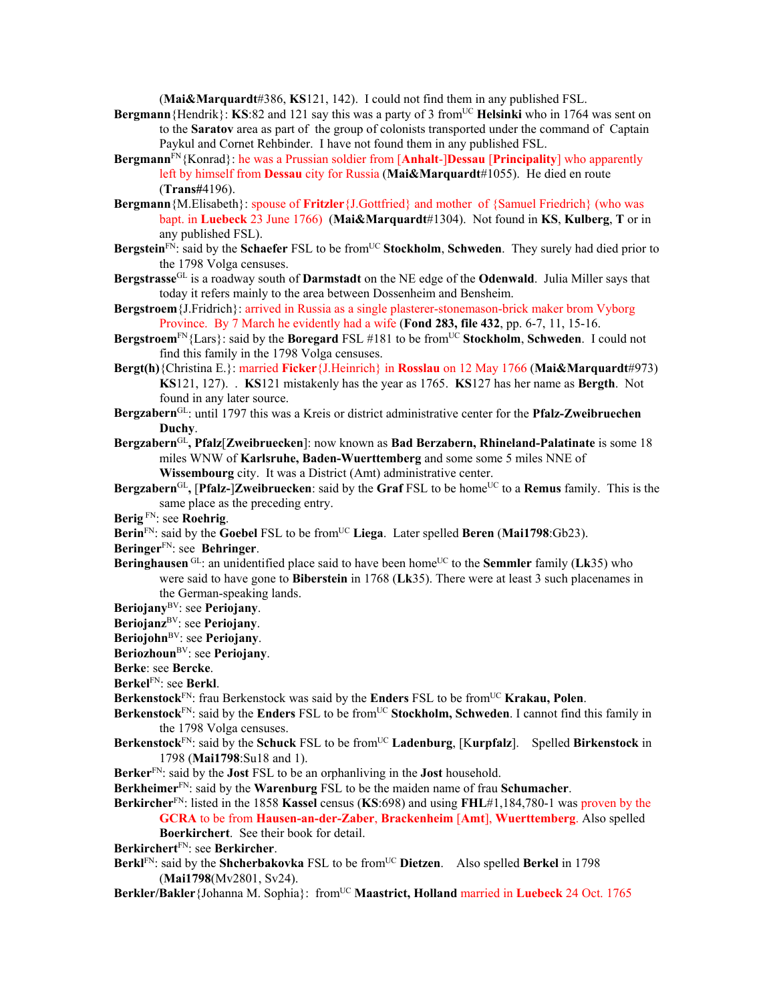(**Mai&Marquardt**#386, **KS**121, 142). I could not find them in any published FSL.

- **Bergmann** {Hendrik}: **KS**:82 and 121 say this was a party of 3 from<sup>UC</sup> Helsinki who in 1764 was sent on to the **Saratov** area as part of the group of colonists transported under the command of Captain Paykul and Cornet Rehbinder. I have not found them in any published FSL.
- **Bergmann**FN{Konrad}: he was a Prussian soldier from [**Anhalt**-]**Dessau** [**Principality**] who apparently left by himself from **Dessau** city for Russia (**Mai&Marquardt**#1055). He died en route (**Trans#**4196).
- **Bergmann**{M.Elisabeth}: spouse of **Fritzler**{J.Gottfried} and mother of {Samuel Friedrich} (who was bapt. in **Luebeck** 23 June 1766) (**Mai&Marquardt**#1304). Not found in **KS**, **Kulberg**, **T** or in any published FSL).
- **Bergstein**<sup>FN</sup>: said by the **Schaefer** FSL to be from<sup>UC</sup> **Stockholm**, **Schweden**. They surely had died prior to the 1798 Volga censuses.
- **Bergstrasse**GL is a roadway south of **Darmstadt** on the NE edge of the **Odenwald**. Julia Miller says that today it refers mainly to the area between Dossenheim and Bensheim.
- **Bergstroem**{J.Fridrich}: arrived in Russia as a single plasterer-stonemason-brick maker brom Vyborg Province. By 7 March he evidently had a wife (**Fond 283, file 432**, pp. 6-7, 11, 15-16.
- **Bergstroem<sup>FN</sup>{Lars}: said by the <b>Boregard** FSL #181 to be from<sup>UC</sup> **Stockholm, Schweden**. I could not find this family in the 1798 Volga censuses.
- **Bergt(h)**{Christina E.}: married **Ficker**{J.Heinrich} in **Rosslau** on 12 May 1766 (**Mai&Marquardt**#973) **KS**121, 127). . **KS**121 mistakenly has the year as 1765. **KS**127 has her name as **Bergth**. Not found in any later source.
- **Bergzabern**GL: until 1797 this was a Kreis or district administrative center for the **Pfalz-Zweibruechen Duchy**.
- **Bergzabern**GL**, Pfalz**[**Zweibruecken**]: now known as **Bad Berzabern, Rhineland-Palatinate** is some 18 miles WNW of **Karlsruhe, Baden-Wuerttemberg** and some some 5 miles NNE of **Wissembourg** city. It was a District (Amt) administrative center.
- **Bergzabern**<sup>GL</sup>, **[Pfalz-]Zweibruecken**: said by the **Graf** FSL to be home<sup>UC</sup> to a **Remus** family. This is the same place as the preceding entry.
- **Berig** FN: see **Roehrig**.
- $\text{Bern}^{\text{FN}}$ : said by the **Goebel** FSL to be from<sup>UC</sup> Liega. Later spelled **Beren** (Mai1798:Gb23).
- **Beringer**FN: see **Behringer**.
- **Beringhausen** GL: an unidentified place said to have been home<sup>UC</sup> to the **Semmler** family (**Lk**35) who were said to have gone to **Biberstein** in 1768 (**Lk**35). There were at least 3 such placenames in the German-speaking lands.
- **Beriojany**BV: see **Periojany**.
- **Beriojanz**BV: see **Periojany**.
- **Beriojohn**BV: see **Periojany**.
- **Beriozhoun**BV: see **Periojany**.
- **Berke**: see **Bercke**.
- **Berkel**FN: see **Berkl**.
- Berkenstock<sup>FN</sup>: frau Berkenstock was said by the **Enders** FSL to be from<sup>UC</sup> **Krakau, Polen**.
- **Berkenstock**FN: said by the **Enders** FSL to be fromUC **Stockholm, Schweden**. I cannot find this family in the 1798 Volga censuses.
- **Berkenstock**<sup>FN</sup>: said by the **Schuck** FSL to be from<sup>UC</sup> **Ladenburg**, [Kurpfalz]. Spelled Birkenstock in 1798 (**Mai1798**:Su18 and 1).
- **Berker**FN: said by the **Jost** FSL to be an orphanliving in the **Jost** household.
- **Berkheimer**FN: said by the **Warenburg** FSL to be the maiden name of frau **Schumacher**.
- **Berkircher**FN: listed in the 1858 **Kassel** census (**KS**:698) and using **FHL**#1,184,780-1 was proven by the **GCRA** to be from **Hausen-an-der-Zaber**, **Brackenheim** [**Amt**], **Wuerttemberg**. Also spelled **Boerkirchert**. See their book for detail.
- **Berkirchert**FN: see **Berkircher**.
- Berkl<sup>FN</sup>: said by the **Shcherbakovka** FSL to be from<sup>UC</sup> Dietzen. Also spelled Berkel in 1798 (**Mai1798**(Mv2801, Sv24).
- **Berkler/Bakler** {Johanna M. Sophia}: from<sup>UC</sup> Maastrict, Holland married in Luebeck 24 Oct. 1765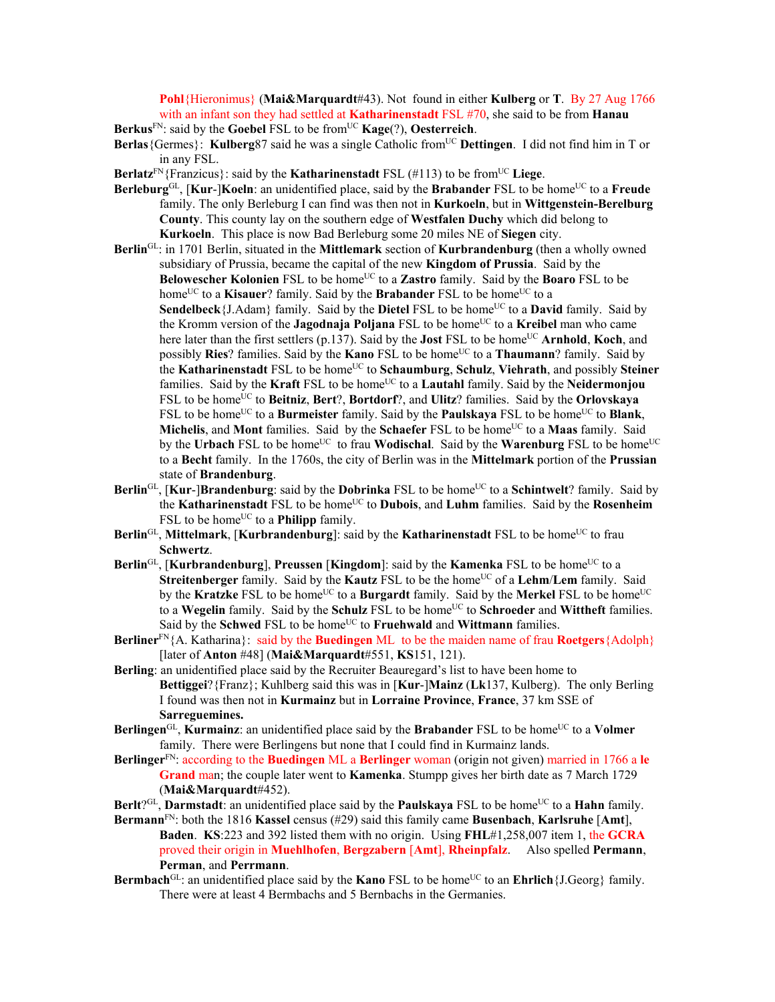**Pohl**{Hieronimus} (**Mai&Marquardt**#43). Not found in either **Kulberg** or **T**. By 27 Aug 1766 with an infant son they had settled at **Katharinenstadt** FSL #70, she said to be from **Hanau** 

**Berkus**FN: said by the **Goebel** FSL to be fromUC **Kage**(?), **Oesterreich**.

**Berlas**{Germes}: **Kulberg**87 said he was a single Catholic from<sup>UC</sup> Dettingen. I did not find him in T or in any FSL.

- **Berlatz**<sup>FN</sup>{Franzicus}: said by the **Katharinenstadt** FSL (#113) to be from<sup>UC</sup> Liege.
- **Berleburg**<sup>GL</sup>, [**Kur-**]**Koeln**: an unidentified place, said by the **Brabander** FSL to be home<sup>UC</sup> to a **Freude** family. The only Berleburg I can find was then not in **Kurkoeln**, but in **Wittgenstein-Berelburg County**. This county lay on the southern edge of **Westfalen Duchy** which did belong to **Kurkoeln**. This place is now Bad Berleburg some 20 miles NE of **Siegen** city.
- **Berlin**GL: in 1701 Berlin, situated in the **Mittlemark** section of **Kurbrandenburg** (then a wholly owned subsidiary of Prussia, became the capital of the new **Kingdom of Prussia**. Said by the **Belowescher Kolonien** FSL to be home<sup>UC</sup> to a **Zastro** family. Said by the **Boaro** FSL to be home<sup>UC</sup> to a **Kisauer**? family. Said by the **Brabander** FSL to be home<sup>UC</sup> to a Sendelbeck {J.Adam} family. Said by the Dietel FSL to be home<sup>UC</sup> to a David family. Said by the Kromm version of the **Jagodnaja Poljana** FSL to be home<sup>UC</sup> to a **Kreibel** man who came here later than the first settlers (p.137). Said by the **Jost** FSL to be home<sup>UC</sup> **Arnhold**, **Koch**, and possibly **Ries**? families. Said by the **Kano** FSL to be home<sup>UC</sup> to a **Thaumann**? family. Said by the **Katharinenstadt** FSL to be homeUC to **Schaumburg**, **Schulz**, **Viehrath**, and possibly **Steiner** families. Said by the **Kraft** FSL to be home<sup>UC</sup> to a **Lautahl** family. Said by the **Neidermonjou** FSL to be home<sup>UC</sup> to **Beitniz**, **Bert**?, **Bortdorf**?, and **Ulitz**? families. Said by the **Orlovskaya** FSL to be home<sup>UC</sup> to a **Burmeister** family. Said by the **Paulskaya** FSL to be home<sup>UC</sup> to **Blank**, **Michelis**, and **Mont** families. Said by the **Schaefer** FSL to be home<sup>UC</sup> to a **Maas** family. Said by the **Urbach** FSL to be home<sup>UC</sup> to frau **Wodischal**. Said by the **Warenburg** FSL to be home<sup>UC</sup> to a **Becht** family. In the 1760s, the city of Berlin was in the **Mittelmark** portion of the **Prussian** state of **Brandenburg**.
- **Berlin**<sup>GL</sup>, [**Kur-]Brandenburg**: said by the **Dobrinka** FSL to be home<sup>UC</sup> to a **Schintwelt**? family. Said by the **Katharinenstadt** FSL to be home<sup>UC</sup> to **Dubois**, and **Luhm** families. Said by the **Rosenheim** FSL to be home<sup>UC</sup> to a **Philipp** family.
- **Berlin**<sup>GL</sup>, **Mittelmark**, [**Kurbrandenburg**]: said by the **Katharinenstadt** FSL to be home<sup>UC</sup> to frau **Schwertz**.
- **Berlin**<sup>GL</sup>, [**Kurbrandenburg**], **Preussen** [**Kingdom**]: said by the **Kamenka** FSL to be home<sup>UC</sup> to a **Streitenberger** family. Said by the **Kautz** FSL to be the home<sup>UC</sup> of a **Lehm/Lem** family. Said by the **Kratzke** FSL to be home<sup>UC</sup> to a **Burgardt** family. Said by the **Merkel** FSL to be home<sup>UC</sup> to a Wegelin family. Said by the Schulz FSL to be home<sup>UC</sup> to Schroeder and Wittheft families. Said by the **Schwed** FSL to be home<sup>UC</sup> to **Fruehwald** and **Wittmann** families.
- **Berliner**FN{A. Katharina}: said by the **Buedingen** ML to be the maiden name of frau **Roetgers**{Adolph} [later of **Anton** #48] (**Mai&Marquardt**#551, **KS**151, 121).
- **Berling**: an unidentified place said by the Recruiter Beauregard's list to have been home to **Bettiggei**?{Franz}; Kuhlberg said this was in [**Kur**-]**Mainz** (**Lk**137, Kulberg). The only Berling I found was then not in **Kurmainz** but in **Lorraine Province**, **France**, 37 km SSE of **Sarreguemines.**
- Berlingen<sup>GL</sup>, **Kurmainz**: an unidentified place said by the **Brabander** FSL to be home<sup>UC</sup> to a **Volmer** family. There were Berlingens but none that I could find in Kurmainz lands.
- **Berlinger**FN: according to the **Buedingen** ML a **Berlinger** woman (origin not given) married in 1766 a **le Grand** man; the couple later went to **Kamenka**. Stumpp gives her birth date as 7 March 1729 (**Mai&Marquardt**#452).
- **Berlt**?<sup>GL</sup>, **Darmstadt**: an unidentified place said by the **Paulskaya** FSL to be home<sup>UC</sup> to a **Hahn** family.
- **Bermann**FN: both the 1816 **Kassel** census (#29) said this family came **Busenbach**, **Karlsruhe** [**Amt**], **Baden**. **KS**:223 and 392 listed them with no origin. Using **FHL**#1,258,007 item 1, the **GCRA** proved their origin in **Muehlhofen**, **Bergzabern** [**Amt**], **Rheinpfalz**. Also spelled **Permann**, **Perman**, and **Perrmann**.
- **Bermbach**<sup>GL</sup>: an unidentified place said by the **Kano** FSL to be home<sup>UC</sup> to an **Ehrlich**{J.Georg} family. There were at least 4 Bermbachs and 5 Bernbachs in the Germanies.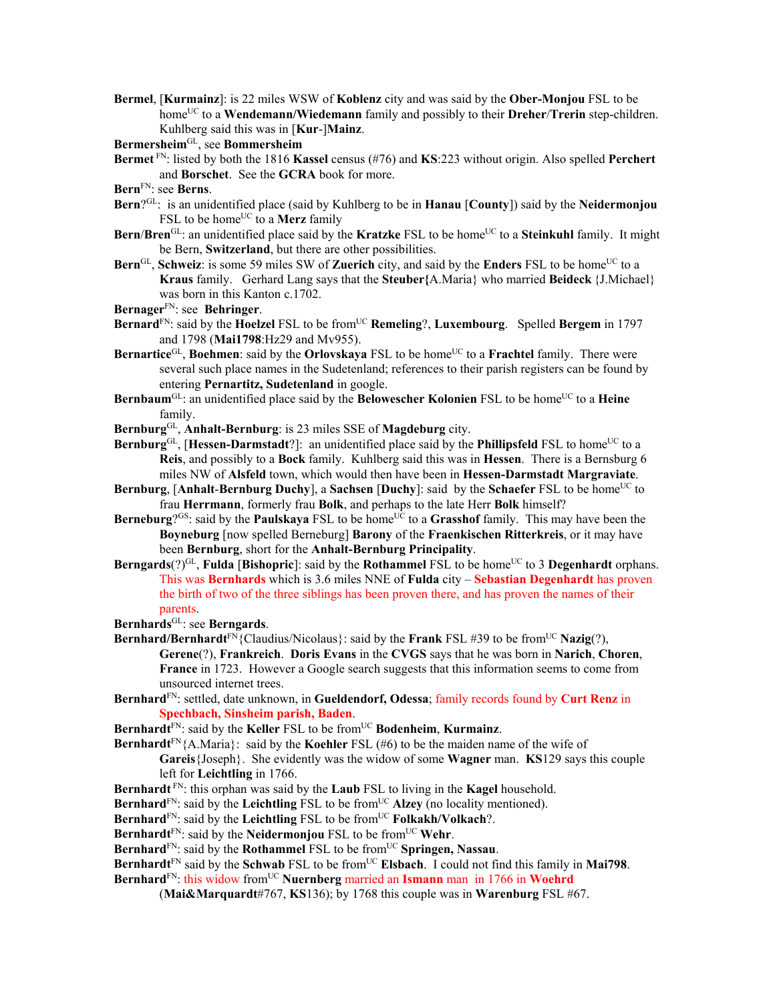**Bermel**, [**Kurmainz**]: is 22 miles WSW of **Koblenz** city and was said by the **Ober-Monjou** FSL to be homeUC to a **Wendemann/Wiedemann** family and possibly to their **Dreher**/**Trerin** step-children. Kuhlberg said this was in [**Kur**-]**Mainz**.

**Bermersheim**GL, see **Bommersheim** 

- **Bermet** FN: listed by both the 1816 **Kassel** census (#76) and **KS**:223 without origin. Also spelled **Perchert** and **Borschet**. See the **GCRA** book for more.
- **Bern**FN: see **Berns**.
- **Bern**?GL: is an unidentified place (said by Kuhlberg to be in **Hanau** [**County**]) said by the **Neidermonjou** FSL to be home<sup>UC</sup> to a **Merz** family
- **Bern/Bren**<sup>GL</sup>: an unidentified place said by the **Kratzke** FSL to be home<sup>UC</sup> to a **Steinkuhl** family. It might be Bern, **Switzerland**, but there are other possibilities.
- **Bern**<sup>GL</sup>, **Schweiz**: is some 59 miles SW of **Zuerich** city, and said by the **Enders** FSL to be home<sup>UC</sup> to a **Kraus** family. Gerhard Lang says that the **Steuber{**A.Maria} who married **Beideck** {J.Michael} was born in this Kanton c.1702.
- **Bernager**FN: see **Behringer**.
- **Bernard**<sup>FN</sup>: said by the **Hoelzel** FSL to be from<sup>UC</sup> **Remeling**?, **Luxembourg**. Spelled **Bergem** in 1797 and 1798 (**Mai1798**:Hz29 and Mv955).
- **Bernartice**GL, **Boehmen**: said by the **Orlovskaya** FSL to be home<sup>UC</sup> to a Frachtel family. There were several such place names in the Sudetenland; references to their parish registers can be found by entering **Pernartitz, Sudetenland** in google.
- **Bernbaum**<sup>GL</sup>: an unidentified place said by the **Belowescher Kolonien** FSL to be home<sup>UC</sup> to a **Heine** family.
- **Bernburg**GL, **Anhalt-Bernburg**: is 23 miles SSE of **Magdeburg** city.
- **Bernburg**<sup>GL</sup>, [Hessen-Darmstadt?]: an unidentified place said by the **Phillipsfeld** FSL to home<sup>UC</sup> to a **Reis**, and possibly to a **Bock** family. Kuhlberg said this was in **Hessen**. There is a Bernsburg 6 miles NW of **Alsfeld** town, which would then have been in **Hessen-Darmstadt Margraviate**.
- **Bernburg**, [Anhalt-Bernburg Duchy], a Sachsen [Duchy]: said by the Schaefer FSL to be home<sup>UC</sup> to frau **Herrmann**, formerly frau **Bolk**, and perhaps to the late Herr **Bolk** himself?
- **Berneburg**?<sup>GS</sup>: said by the **Paulskaya** FSL to be home<sup>UC</sup> to a **Grasshof** family. This may have been the **Boyneburg** [now spelled Berneburg] **Barony** of the **Fraenkischen Ritterkreis**, or it may have been **Bernburg**, short for the **Anhalt-Bernburg Principality**.
- **Berngards**(?)<sup>GL</sup>, **Fulda** [**Bishopric**]: said by the **Rothammel** FSL to be home<sup>UC</sup> to 3 **Degenhardt** orphans. This was **Bernhards** which is 3.6 miles NNE of **Fulda** city – **Sebastian Degenhardt** has proven the birth of two of the three siblings has been proven there, and has proven the names of their parents.
- **Bernhards**GL: see **Berngards**.
- **Bernhard/Bernhardt**<sup>FN</sup>{Claudius/Nicolaus}: said by the **Frank** FSL #39 to be from<sup>UC</sup> **Nazig**(?), **Gerene**(?), **Frankreich**. **Doris Evans** in the **CVGS** says that he was born in **Narich**, **Choren**, **France** in 1723. However a Google search suggests that this information seems to come from unsourced internet trees.
- **Bernhard**FN: settled, date unknown, in **Gueldendorf, Odessa**; family records found by **Curt Renz** in **Spechbach, Sinsheim parish, Baden**.
- **Bernhardt**<sup>FN</sup>: said by the **Keller** FSL to be from<sup>UC</sup> **Bodenheim**, **Kurmainz**.
- **Bernhardt**<sup>FN</sup>{A.Maria}: said by the **Koehler** FSL (#6) to be the maiden name of the wife of **Gareis**{Joseph}. She evidently was the widow of some **Wagner** man. **KS**129 says this couple left for **Leichtling** in 1766.
- **Bernhardt** FN: this orphan was said by the **Laub** FSL to living in the **Kagel** household.
- **Bernhard**<sup>FN</sup>: said by the **Leichtling** FSL to be from<sup>UC</sup> **Alzey** (no locality mentioned).

Bernhard<sup>FN</sup>: said by the Leichtling FSL to be from<sup>UC</sup> **Folkakh/Volkach**?.

Bernhardt<sup>FN</sup>: said by the **Neidermonjou** FSL to be from<sup>UC</sup> Wehr.

**Bernhard**<sup>FN</sup>: said by the **Rothammel** FSL to be from<sup>UC</sup> **Springen, Nassau**.

**Bernhardt**<sup>FN</sup> said by the **Schwab** FSL to be from<sup>UC</sup> **Elsbach**. I could not find this family in **Mai798**. **Bernhard**<sup>FN</sup>: this widow from<sup>UC</sup> **Nuernberg** married an **Ismann** man in 1766 in **Woehrd** 

(**Mai&Marquardt**#767, **KS**136); by 1768 this couple was in **Warenburg** FSL #67.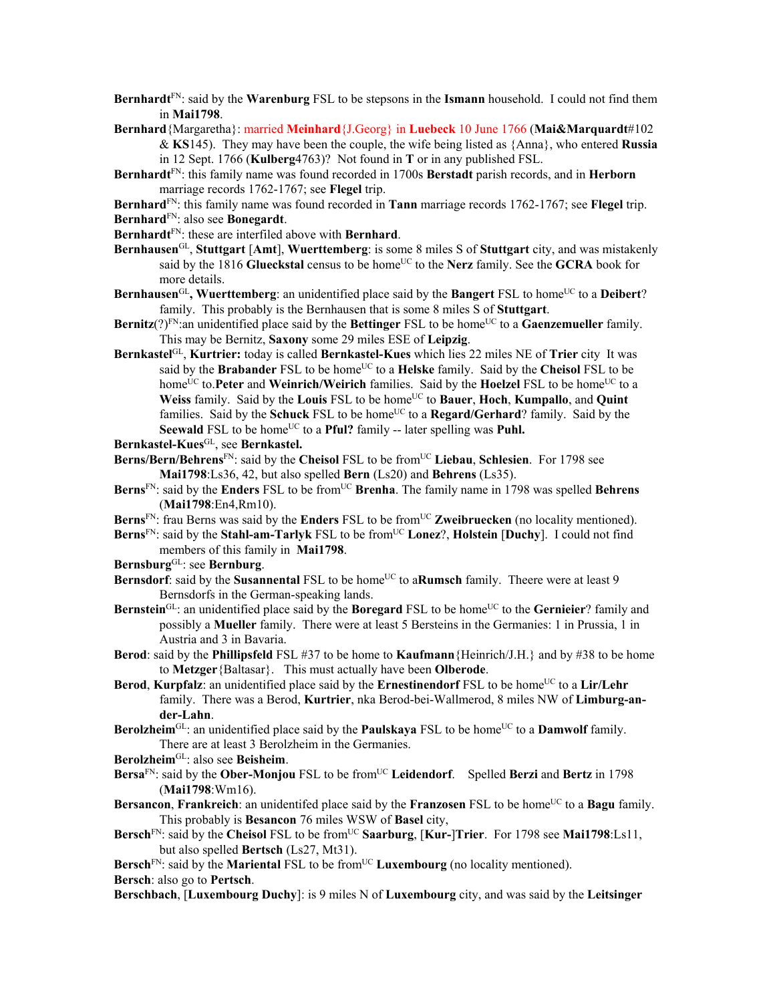- **Bernhardt**FN: said by the **Warenburg** FSL to be stepsons in the **Ismann** household. I could not find them in **Mai1798**.
- **Bernhard**{Margaretha}: married **Meinhard**{J.Georg} in **Luebeck** 10 June 1766 (**Mai&Marquardt**#102 & **KS**145). They may have been the couple, the wife being listed as {Anna}, who entered **Russia** in 12 Sept. 1766 (**Kulberg**4763)? Not found in **T** or in any published FSL.
- **Bernhardt**FN: this family name was found recorded in 1700s **Berstadt** parish records, and in **Herborn** marriage records 1762-1767; see **Flegel** trip.
- **Bernhard**FN: this family name was found recorded in **Tann** marriage records 1762-1767; see **Flegel** trip.
- **Bernhard**FN: also see **Bonegardt**.
- **Bernhardt**FN: these are interfiled above with **Bernhard**.
- **Bernhausen**GL, **Stuttgart** [**Amt**], **Wuerttemberg**: is some 8 miles S of **Stuttgart** city, and was mistakenly said by the 1816 **Glueckstal** census to be home<sup>UC</sup> to the **Nerz** family. See the **GCRA** book for more details.
- Bernhausen<sup>GL</sup>, Wuerttemberg: an unidentified place said by the Bangert FSL to home<sup>UC</sup> to a Deibert? family. This probably is the Bernhausen that is some 8 miles S of **Stuttgart**.
- **Bernitz**(?)<sup>FN</sup>: an unidentified place said by the **Bettinger** FSL to be home<sup>UC</sup> to a **Gaenzemueller** family. This may be Bernitz, **Saxony** some 29 miles ESE of **Leipzig**.
- **Bernkastel**GL, **Kurtrier:** today is called **Bernkastel-Kues** which lies 22 miles NE of **Trier** city It was said by the **Brabander** FSL to be home<sup>UC</sup> to a **Helske** family. Said by the **Cheisol** FSL to be home<sup>UC</sup> to.**Peter** and **Weinrich/Weirich** families. Said by the **Hoelzel** FSL to be home<sup>UC</sup> to a **Weiss** family. Said by the **Louis** FSL to be home<sup>UC</sup> to **Bauer**, **Hoch**, **Kumpallo**, and **Quint** families. Said by the **Schuck** FSL to be home<sup>UC</sup> to a **Regard/Gerhard**? family. Said by the Seewald FSL to be home<sup>UC</sup> to a **Pful?** family -- later spelling was **Puhl.**
- **Bernkastel-Kues**GL, see **Bernkastel.**
- **Berns/Bern/Behrens**FN: said by the **Cheisol** FSL to be fromUC **Liebau**, **Schlesien**. For 1798 see **Mai1798**:Ls36, 42, but also spelled **Bern** (Ls20) and **Behrens** (Ls35).
- Berns<sup>FN</sup>: said by the Enders FSL to be from<sup>UC</sup> Brenha. The family name in 1798 was spelled Behrens (**Mai1798**:En4,Rm10).
- **Berns**<sup>FN</sup>: frau Berns was said by the **Enders** FSL to be from<sup>UC</sup> **Zweibruecken** (no locality mentioned).
- Berns<sup>FN</sup>: said by the Stahl-am-Tarlyk FSL to be from<sup>UC</sup> Lonez?, Holstein [Duchy]. I could not find members of this family in **Mai1798**.
- **Bernsburg**GL: see **Bernburg**.
- **Bernsdorf**: said by the **Susannental** FSL to be home<sup>UC</sup> to a**Rumsch** family. Theere were at least 9 Bernsdorfs in the German-speaking lands.
- **Bernstein**<sup>GL</sup>: an unidentified place said by the **Boregard** FSL to be home<sup>UC</sup> to the **Gernieier**? family and possibly a **Mueller** family. There were at least 5 Bersteins in the Germanies: 1 in Prussia, 1 in Austria and 3 in Bavaria.
- **Berod**: said by the **Phillipsfeld** FSL #37 to be home to **Kaufmann**{Heinrich/J.H.} and by #38 to be home to **Metzger**{Baltasar}. This must actually have been **Olberode**.
- **Berod**, **Kurpfalz**: an unidentified place said by the **Ernestinendorf** FSL to be home<sup>UC</sup> to a **Lir/Lehr** family. There was a Berod, **Kurtrier**, nka Berod-bei-Wallmerod, 8 miles NW of **Limburg-ander-Lahn**.
- **Berolzheim**<sup>GL</sup>: an unidentified place said by the **Paulskaya** FSL to be home<sup>UC</sup> to a **Damwolf** family. There are at least 3 Berolzheim in the Germanies.
- **Berolzheim**GL: also see **Beisheim**.
- **Bersa**<sup>FN</sup>: said by the **Ober-Monjou** FSL to be from<sup>UC</sup> Leidendorf. Spelled Berzi and Bertz in 1798 (**Mai1798**:Wm16).
- **Bersancon, Frankreich**: an unidentifed place said by the **Franzosen** FSL to be home<sup>UC</sup> to a **Bagu** family. This probably is **Besancon** 76 miles WSW of **Basel** city,
- Bersch<sup>FN</sup>: said by the Cheisol FSL to be from<sup>UC</sup> Saarburg, [Kur-]Trier. For 1798 see Mai1798:Ls11, but also spelled **Bertsch** (Ls27, Mt31).

**Bersch<sup>FN</sup>:** said by the **Mariental** FSL to be from<sup>UC</sup> **Luxembourg** (no locality mentioned). **Bersch**: also go to **Pertsch**.

**Berschbach**, [**Luxembourg Duchy**]: is 9 miles N of **Luxembourg** city, and was said by the **Leitsinger**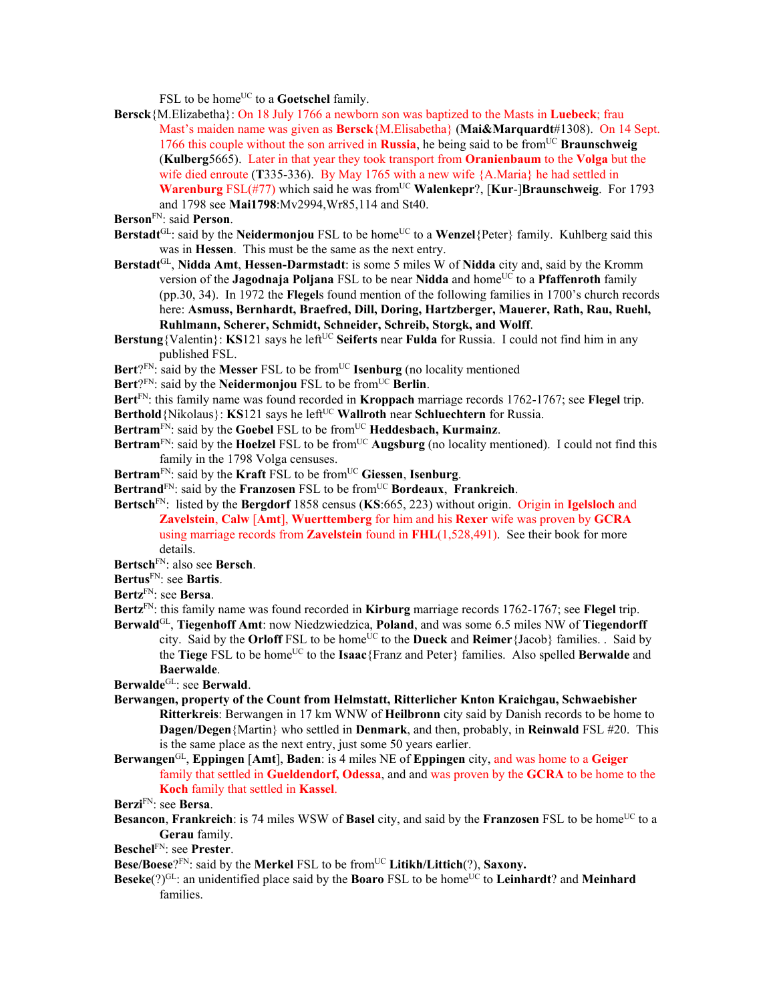FSL to be home<sup>UC</sup> to a **Goetschel** family.

- **Bersck**{M.Elizabetha}: On 18 July 1766 a newborn son was baptized to the Masts in **Luebeck**; frau Mast's maiden name was given as **Bersck**{M.Elisabetha} (**Mai&Marquardt**#1308). On 14 Sept. 1766 this couple without the son arrived in **Russia**, he being said to be from<sup>UC</sup> **Braunschweig** (**Kulberg**5665). Later in that year they took transport from **Oranienbaum** to the **Volga** but the wife died enroute (**T**335-336). By May 1765 with a new wife {A.Maria} he had settled in **Warenburg** FSL(#77) which said he was from<sup>UC</sup> **Walenkepr**?, [**Kur-**]Braunschweig. For 1793 and 1798 see **Mai1798**:Mv2994,Wr85,114 and St40.
- **Berson**FN: said **Person**.
- **Berstadt**<sup>GL</sup>: said by the **Neidermoniou** FSL to be home<sup>UC</sup> to a **Wenzel**{Peter} family. Kuhlberg said this was in **Hessen**. This must be the same as the next entry.
- **Berstadt**GL, **Nidda Amt**, **Hessen-Darmstadt**: is some 5 miles W of **Nidda** city and, said by the Kromm version of the **Jagodnaja Poljana** FSL to be near **Nidda** and home<sup>UC</sup> to a **Pfaffenroth** family (pp.30, 34). In 1972 the **Flegel**s found mention of the following families in 1700's church records here: **Asmuss, Bernhardt, Braefred, Dill, Doring, Hartzberger, Mauerer, Rath, Rau, Ruehl, Ruhlmann, Scherer, Schmidt, Schneider, Schreib, Storgk, and Wolff**.
- **Berstung**{Valentin}: **KS**121 says he left<sup>UC</sup> Seiferts near **Fulda** for Russia. I could not find him in any published FSL.
- Bert?<sup>FN</sup>: said by the Messer FSL to be from<sup>UC</sup> Isenburg (no locality mentioned
- Bert?<sup>FN</sup>: said by the **Neidermonjou** FSL to be from<sup>UC</sup> Berlin.
- **Bert**FN: this family name was found recorded in **Kroppach** marriage records 1762-1767; see **Flegel** trip.
- **Berthold** {Nikolaus}: **KS**121 says he left<sup>UC</sup> **Wallroth** near **Schluechtern** for Russia.
- Bertram<sup>FN</sup>: said by the Goebel FSL to be from<sup>UC</sup> Heddesbach, Kurmainz.
- **Bertram**<sup>FN</sup>: said by the **Hoelzel** FSL to be from<sup>UC</sup> **Augsburg** (no locality mentioned). I could not find this family in the 1798 Volga censuses.
- **Bertram**FN: said by the **Kraft** FSL to be fromUC **Giessen**, **Isenburg**.
- **Bertrand**FN: said by the **Franzosen** FSL to be fromUC **Bordeaux**, **Frankreich**.
- **Bertsch**FN: listed by the **Bergdorf** 1858 census (**KS**:665, 223) without origin. Origin in **Igelsloch** and **Zavelstein**, **Calw** [**Amt**], **Wuerttemberg** for him and his **Rexer** wife was proven by **GCRA** using marriage records from **Zavelstein** found in **FHL**(1,528,491). See their book for more details.
- **Bertsch**FN: also see **Bersch**.
- **Bertus**FN: see **Bartis**.
- **Bertz**FN: see **Bersa**.
- **Bertz**FN: this family name was found recorded in **Kirburg** marriage records 1762-1767; see **Flegel** trip.
- **Berwald**GL, **Tiegenhoff Amt**: now Niedzwiedzica, **Poland**, and was some 6.5 miles NW of **Tiegendorff** city. Said by the **Orloff** FSL to be home<sup>UC</sup> to the **Dueck** and **Reimer**{Jacob} families. . Said by the **Tiege** FSL to be homeUC to the **Isaac**{Franz and Peter} families. Also spelled **Berwalde** and **Baerwalde**.

**Berwalde**GL: see **Berwald**.

- **Berwangen, property of the Count from Helmstatt, Ritterlicher Knton Kraichgau, Schwaebisher Ritterkreis**: Berwangen in 17 km WNW of **Heilbronn** city said by Danish records to be home to **Dagen/Degen**{Martin} who settled in **Denmark**, and then, probably, in **Reinwald** FSL #20. This is the same place as the next entry, just some 50 years earlier.
- **Berwangen**GL, **Eppingen** [**Amt**], **Baden**: is 4 miles NE of **Eppingen** city, and was home to a **Geiger** family that settled in **Gueldendorf, Odessa**, and and was proven by the **GCRA** to be home to the **Koch** family that settled in **Kassel**.

**Berzi**FN: see **Bersa**.

- **Besancon, Frankreich**: is 74 miles WSW of **Basel** city, and said by the **Franzosen** FSL to be home<sup>UC</sup> to a **Gerau** family.
- **Beschel**FN: see **Prester**.
- **Bese/Boese**?<sup>FN</sup>: said by the **Merkel** FSL to be from<sup>UC</sup> Litikh/Littich(?), Saxony.
- **Beseke**(?)<sup>GL</sup>: an unidentified place said by the **Boaro** FSL to be home<sup>UC</sup> to **Leinhardt**? and **Meinhard** families.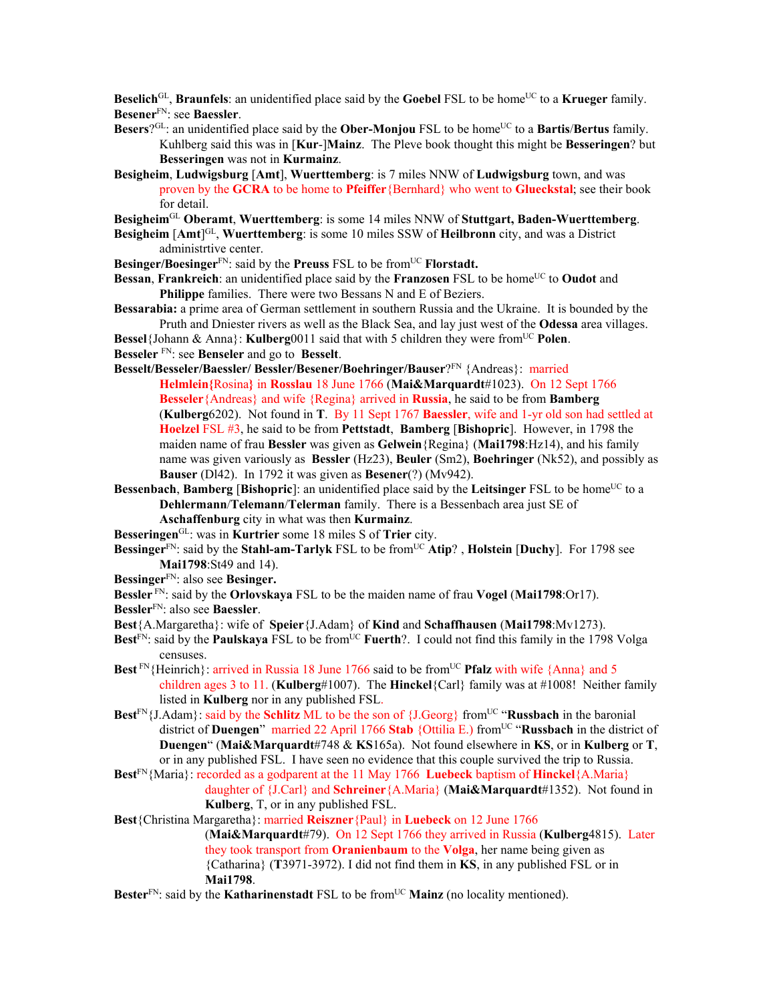**Beselich**<sup>GL</sup>, **Braunfels**: an unidentified place said by the **Goebel** FSL to be home<sup>UC</sup> to a **Krueger** family. **Besener**FN: see **Baessler**.

- **Besers**?<sup>GL</sup>: an unidentified place said by the **Ober-Monjou** FSL to be home<sup>UC</sup> to a **Bartis/Bertus** family. Kuhlberg said this was in [**Kur**-]**Mainz**. The Pleve book thought this might be **Besseringen**? but **Besseringen** was not in **Kurmainz**.
- **Besigheim**, **Ludwigsburg** [**Amt**], **Wuerttemberg**: is 7 miles NNW of **Ludwigsburg** town, and was proven by the **GCRA** to be home to **Pfeiffer**{Bernhard} who went to **Glueckstal**; see their book for detail.

**Besigheim**GL **Oberamt**, **Wuerttemberg**: is some 14 miles NNW of **Stuttgart, Baden-Wuerttemberg**.

**Besigheim** [Amt]<sup>GL</sup>, Wuerttemberg: is some 10 miles SSW of Heilbronn city, and was a District administrtive center.

**Besinger/Boesinger**<sup>FN</sup>: said by the **Preuss** FSL to be from<sup>UC</sup> **Florstadt.** 

**Bessan**, **Frankreich**: an unidentified place said by the **Franzosen** FSL to be home<sup>UC</sup> to **Oudot** and **Philippe** families. There were two Bessans N and E of Beziers.

- **Bessarabia:** a prime area of German settlement in southern Russia and the Ukraine. It is bounded by the Pruth and Dniester rivers as well as the Black Sea, and lay just west of the **Odessa** area villages.
- **Bessel**{Johann & Anna}: **Kulberg**0011 said that with 5 children they were from<sup>UC</sup> Polen.
- **Besseler** FN: see **Benseler** and go to **Besselt**.

**Besselt/Besseler/Baessler/ Bessler/Besener/Boehringer/Bauser**?FN {Andreas}: married **Helmlein{**Rosina**}** in **Rosslau** 18 June 1766 (**Mai&Marquardt**#1023). On 12 Sept 1766 **Besseler**{Andreas} and wife {Regina} arrived in **Russia**, he said to be from **Bamberg**  (**Kulberg**6202). Not found in **T**. By 11 Sept 1767 **Baessler**, wife and 1-yr old son had settled at **Hoelzel** FSL #3, he said to be from **Pettstadt**, **Bamberg** [**Bishopric**]. However, in 1798 the maiden name of frau **Bessler** was given as **Gelwein**{Regina} (**Mai1798**:Hz14), and his family name was given variously as **Bessler** (Hz23), **Beuler** (Sm2), **Boehringer** (Nk52), and possibly as **Bauser** (Dl42). In 1792 it was given as **Besener**(?) (Mv942).

- **Bessenbach, Bamberg [Bishopric]:** an unidentified place said by the **Leitsinger** FSL to be home<sup>UC</sup> to a **Dehlermann**/**Telemann**/**Telerman** family. There is a Bessenbach area just SE of **Aschaffenburg** city in what was then **Kurmainz**.
- **Besseringen**GL: was in **Kurtrier** some 18 miles S of **Trier** city.
- **Bessinger**FN: said by the **Stahl-am-Tarlyk** FSL to be fromUC **Atip**? , **Holstein** [**Duchy**]. For 1798 see **Mai1798**:St49 and 14).
- **Bessinger**FN: also see **Besinger.**
- **Bessler** FN: said by the **Orlovskaya** FSL to be the maiden name of frau **Vogel** (**Mai1798**:Or17).
- **Bessler**FN: also see **Baessler**.
- **Best**{A.Margaretha}: wife of **Speier**{J.Adam} of **Kind** and **Schaffhausen** (**Mai1798**:Mv1273).
- Best<sup>FN</sup>: said by the **Paulskaya** FSL to be from<sup>UC</sup> **Fuerth**?. I could not find this family in the 1798 Volga censuses.
- **Best**<sup>FN</sup>{Heinrich}: arrived in Russia 18 June 1766 said to be from<sup>UC</sup> **Pfalz** with wife {Anna} and 5 children ages 3 to 11. (**Kulberg**#1007). The **Hinckel**{Carl} family was at #1008! Neither family listed in **Kulberg** nor in any published FSL.
- **Best**<sup>FN</sup>{J.Adam}: said by the **Schlitz** ML to be the son of {J.Georg} from<sup>UC</sup> "**Russbach** in the baronial district of **Duengen**" married 22 April 1766 **Stab** {Ottilia E.) from<sup>UC</sup> "**Russbach** in the district of **Duengen**" (**Mai&Marquardt**#748 & **KS**165a). Not found elsewhere in **KS**, or in **Kulberg** or **T**, or in any published FSL. I have seen no evidence that this couple survived the trip to Russia.
- **Best**FN{Maria}: recorded as a godparent at the 11 May 1766 **Luebeck** baptism of **Hinckel**{A.Maria} daughter of {J.Carl} and **Schreiner**{A.Maria} (**Mai&Marquardt**#1352). Not found in **Kulberg**, T, or in any published FSL.

**Best**{Christina Margaretha}: married **Reiszner**{Paul} in **Luebeck** on 12 June 1766 (**Mai&Marquardt**#79). On 12 Sept 1766 they arrived in Russia (**Kulberg**4815). Later they took transport from **Oranienbaum** to the **Volga**, her name being given as {Catharina} (**T**3971-3972). I did not find them in **KS**, in any published FSL or in **Mai1798**.

**Bester**<sup>FN</sup>: said by the **Katharinenstadt** FSL to be from<sup>UC</sup> **Mainz** (no locality mentioned).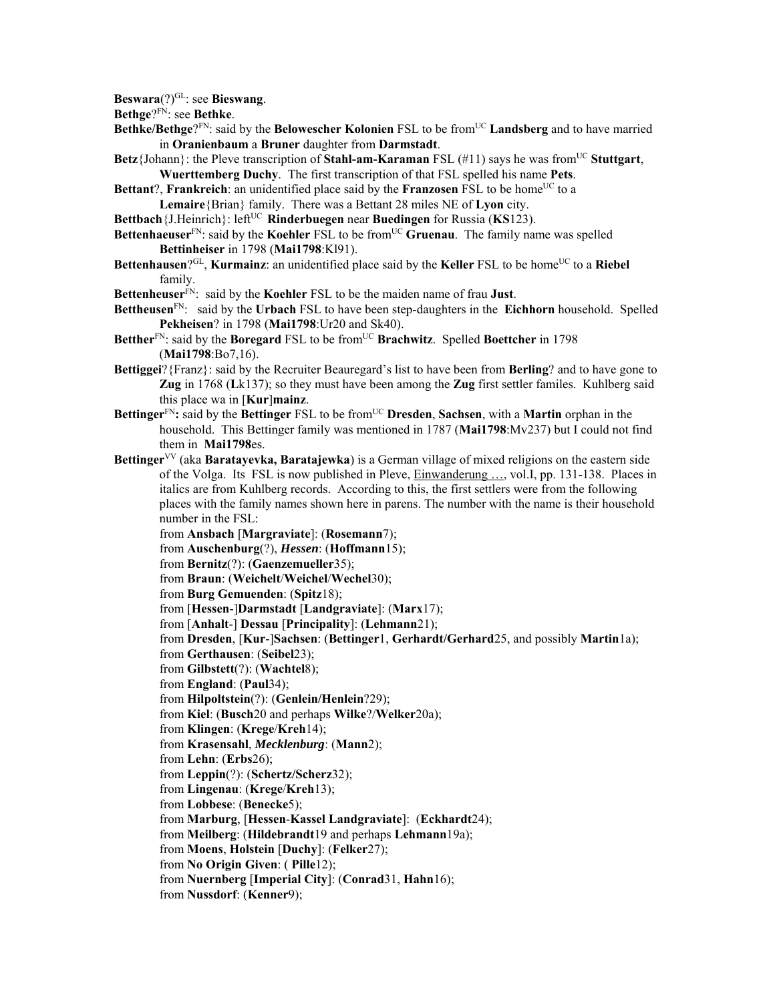**Beswara**(?)GL: see **Bieswang**.

**Bethge**?FN: see **Bethke**.

- **Bethke/Bethge**?<sup>FN</sup>: said by the **Belowescher Kolonien** FSL to be from<sup>UC</sup> **Landsberg** and to have married in **Oranienbaum** a **Bruner** daughter from **Darmstadt**.
- **Betz**{Johann}: the Pleve transcription of **Stahl-am-Karaman** FSL (#11) says he was from<sup>UC</sup> **Stuttgart**, **Wuerttemberg Duchy**. The first transcription of that FSL spelled his name **Pets**.
- **Bettant?, Frankreich:** an unidentified place said by the **Franzosen** FSL to be home<sup>UC</sup> to a **Lemaire**{Brian} family. There was a Bettant 28 miles NE of **Lyon** city.
- **Bettbach**{J.Heinrich}: left<sup>UC</sup> **Rinderbuegen** near **Buedingen** for Russia (**KS**123).
- **Bettenhaeuser**<sup>FN</sup>: said by the **Koehler** FSL to be from<sup>UC</sup> **Gruenau**. The family name was spelled **Bettinheiser** in 1798 (**Mai1798**:Kl91).
- Bettenhausen?<sup>GL</sup>, **Kurmainz**: an unidentified place said by the **Keller** FSL to be home<sup>UC</sup> to a **Riebel** family.
- **Bettenheuser**FN: said by the **Koehler** FSL to be the maiden name of frau **Just**.
- **Bettheusen**FN: said by the **Urbach** FSL to have been step-daughters in the **Eichhorn** household. Spelled **Pekheisen**? in 1798 (**Mai1798**:Ur20 and Sk40).
- Betther<sup>FN</sup>: said by the **Boregard** FSL to be from<sup>UC</sup> **Brachwitz**. Spelled **Boettcher** in 1798 (**Mai1798**:Bo7,16).
- **Bettiggei**?{Franz}: said by the Recruiter Beauregard's list to have been from **Berling**? and to have gone to **Zug** in 1768 (**L**k137); so they must have been among the **Zug** first settler familes. Kuhlberg said this place wa in [**Kur**]**mainz**.
- **Bettinger**FN**:** said by the **Bettinger** FSL to be fromUC **Dresden**, **Sachsen**, with a **Martin** orphan in the household. This Bettinger family was mentioned in 1787 (**Mai1798**:Mv237) but I could not find them in **Mai1798**es.
- **Bettinger**VV (aka **Baratayevka, Baratajewka**) is a German village of mixed religions on the eastern side of the Volga. Its FSL is now published in Pleve, Einwanderung …, vol.I, pp. 131-138. Places in italics are from Kuhlberg records. According to this, the first settlers were from the following places with the family names shown here in parens. The number with the name is their household number in the FSL:
	- from **Ansbach** [**Margraviate**]: (**Rosemann**7);
	- from **Auschenburg**(?), *Hessen*: (**Hoffmann**15);
	- from **Bernitz**(?): (**Gaenzemueller**35);
	- from **Braun**: (**Weichelt**/**Weichel**/**Wechel**30);
	- from **Burg Gemuenden**: (**Spitz**18);
	- from [**Hessen**-]**Darmstadt** [**Landgraviate**]: (**Marx**17);
	- from [**Anhalt**-] **Dessau** [**Principality**]: (**Lehmann**21);
	- from **Dresden**, [**Kur**-]**Sachsen**: (**Bettinger**1, **Gerhardt/Gerhard**25, and possibly **Martin**1a);
	- from **Gerthausen**: (**Seibel**23);
	- from **Gilbstett**(?): (**Wachtel**8);
	- from **England**: (**Paul**34);
	- from **Hilpoltstein**(?): (**Genlein/Henlein**?29);
	- from **Kiel**: (**Busch**20 and perhaps **Wilke**?/**Welker**20a);
	- from **Klingen**: (**Krege**/**Kreh**14);
	- from **Krasensahl**, *Mecklenburg*: (**Mann**2);
	- from **Lehn**: (**Erbs**26);
	- from **Leppin**(?): (**Schertz/Scherz**32);
	- from **Lingenau**: (**Krege**/**Kreh**13);
	- from **Lobbese**: (**Benecke**5);
	- from **Marburg**, [**Hessen**-**Kassel Landgraviate**]: (**Eckhardt**24);
	- from **Meilberg**: (**Hildebrandt**19 and perhaps **Lehmann**19a);
	- from **Moens**, **Holstein** [**Duchy**]: (**Felker**27);
	- from **No Origin Given**: ( **Pille**12);
	- from **Nuernberg** [**Imperial City**]: (**Conrad**31, **Hahn**16);
	- from **Nussdorf**: (**Kenner**9);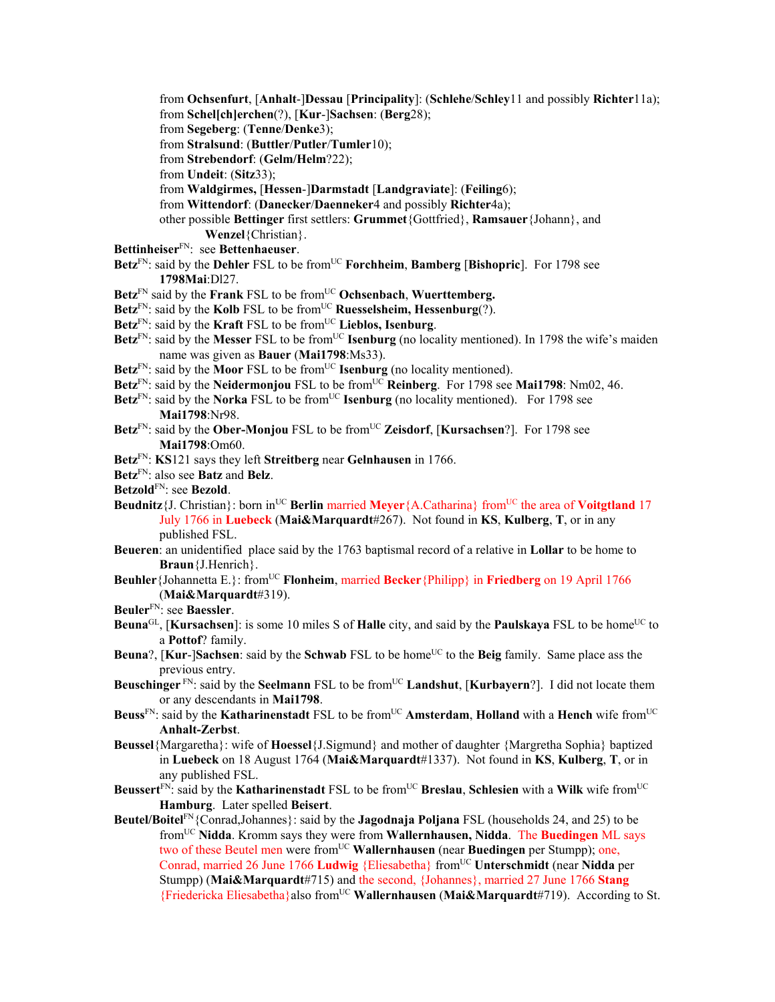- from **Ochsenfurt**, [**Anhalt**-]**Dessau** [**Principality**]: (**Schlehe**/**Schley**11 and possibly **Richter**11a);
- from **Schel[ch]erchen**(?), [**Kur**-]**Sachsen**: (**Berg**28);
- from **Segeberg**: (**Tenne**/**Denke**3);
- from **Stralsund**: (**Buttler**/**Putler**/**Tumler**10);
- from **Strebendorf**: (**Gelm/Helm**?22);
- from **Undeit**: (**Sitz**33);
- from **Waldgirmes,** [**Hessen**-]**Darmstadt** [**Landgraviate**]: (**Feiling**6);
- from **Wittendorf**: (**Danecker**/**Daenneker**4 and possibly **Richter**4a);
- other possible **Bettinger** first settlers: **Grummet**{Gottfried}, **Ramsauer**{Johann}, and **Wenzel**{Christian}.
- **Bettinheiser**FN: see **Bettenhaeuser**.
- **Betz**FN: said by the **Dehler** FSL to be fromUC **Forchheim**, **Bamberg** [**Bishopric**]. For 1798 see **1798Mai**:Dl27.
- Betz<sup>FN</sup> said by the **Frank** FSL to be from<sup>UC</sup> Ochsenbach, Wuerttemberg.
- **Betz**<sup>FN</sup>: said by the **Kolb** FSL to be from<sup>UC</sup> **Ruesselsheim, Hessenburg** $(?)$ .
- Betz<sup>FN</sup>: said by the **Kraft** FSL to be from<sup>UC</sup> Lieblos, Isenburg.
- Betz<sup>FN</sup>: said by the Messer FSL to be from<sup>UC</sup> **Isenburg** (no locality mentioned). In 1798 the wife's maiden name was given as **Bauer** (**Mai1798**:Ms33).
- Betz<sup>FN</sup>: said by the **Moor** FSL to be from<sup>UC</sup> **Isenburg** (no locality mentioned).
- **Betz**FN: said by the **Neidermonjou** FSL to be fromUC **Reinberg**. For 1798 see **Mai1798**: Nm02, 46.
- **Betz**<sup>FN</sup>: said by the **Norka** FSL to be from<sup>UC</sup> **Isenburg** (no locality mentioned). For 1798 see **Mai1798**:Nr98.
- Betz<sup>FN</sup>: said by the Ober-Monjou FSL to be from<sup>UC</sup> Zeisdorf, [Kursachsen?]. For 1798 see **Mai1798**:Om60.
- **Betz**FN: **KS**121 says they left **Streitberg** near **Gelnhausen** in 1766.
- **Betz**FN: also see **Batz** and **Belz**.
- **Betzold**FN: see **Bezold**.
- **Beudnitz**{J. Christian}: born in<sup>UC</sup> **Berlin** married **Meyer**{A.Catharina} from<sup>UC</sup> the area of **Voitgtland** 17 July 1766 in **Luebeck** (**Mai&Marquardt**#267). Not found in **KS**, **Kulberg**, **T**, or in any published FSL.
- **Beueren**: an unidentified place said by the 1763 baptismal record of a relative in **Lollar** to be home to **Braun**{J.Henrich}.
- **Beuhler**{Johannetta E.}: fromUC **Flonheim**, married **Becker**{Philipp} in **Friedberg** on 19 April 1766 (**Mai&Marquardt**#319).
- **Beuler**FN: see **Baessler**.
- **Beuna**GL, [**Kursachsen**]: is some 10 miles S of **Halle** city, and said by the **Paulskaya** FSL to be home<sup>UC</sup> to a **Pottof**? family.
- **Beuna**?, [**Kur-**]Sachsen: said by the Schwab FSL to be home<sup>UC</sup> to the Beig family. Same place ass the previous entry.
- **Beuschinger**<sup>FN</sup>: said by the **Seelmann** FSL to be from<sup>UC</sup> **Landshut**, [**Kurbayern**?]. I did not locate them or any descendants in **Mai1798**.
- **Beuss**<sup>FN</sup>: said by the **Katharinenstadt** FSL to be from<sup>UC</sup> **Amsterdam**, **Holland** with a **Hench** wife from<sup>UC</sup> **Anhalt-Zerbst**.
- **Beussel**{Margaretha}: wife of **Hoessel**{J.Sigmund} and mother of daughter {Margretha Sophia} baptized in **Luebeck** on 18 August 1764 (**Mai&Marquardt**#1337). Not found in **KS**, **Kulberg**, **T**, or in any published FSL.
- **Beussert**<sup>FN</sup>: said by the **Katharinenstadt** FSL to be from<sup>UC</sup> **Breslau**, **Schlesien** with a **Wilk** wife from<sup>UC</sup> **Hamburg**. Later spelled **Beisert**.
- **Beutel/Boitel**FN{Conrad,Johannes}: said by the **Jagodnaja Poljana** FSL (households 24, and 25) to be fromUC **Nidda**. Kromm says they were from **Wallernhausen, Nidda**. The **Buedingen** ML says two of these Beutel men were from<sup>UC</sup> Wallernhausen (near Buedingen per Stumpp); one, Conrad, married 26 June 1766 **Ludwig** {Eliesabetha} fromUC **Unterschmidt** (near **Nidda** per Stumpp) (**Mai&Marquardt**#715) and the second, {Johannes}, married 27 June 1766 **Stang** {Friedericka Eliesabetha}also fromUC **Wallernhausen** (**Mai&Marquardt**#719). According to St.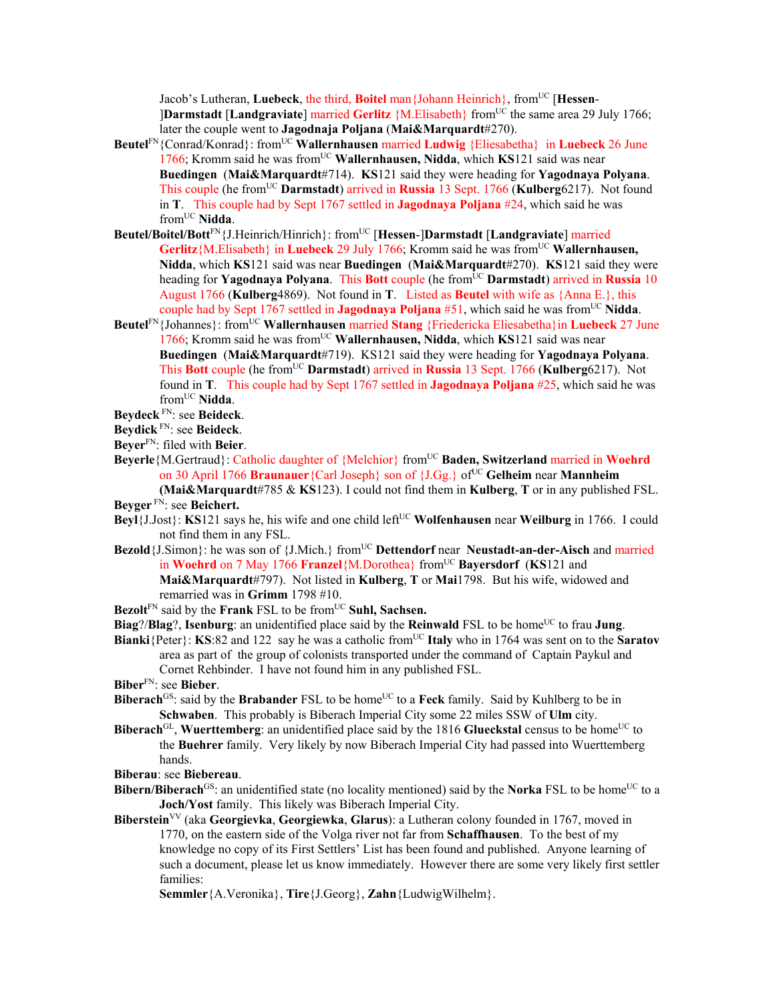Jacob's Lutheran, **Luebeck**, the third, **Boitel** man {Johann Heinrich}, from<sup>UC</sup> [Hessen-]**Darmstadt** [**Landgraviate**] married **Gerlitz** {M.Elisabeth} fromUC the same area 29 July 1766; later the couple went to **Jagodnaja Poljana** (**Mai&Marquardt**#270).

- **Beutel**FN{Conrad/Konrad}: fromUC **Wallernhausen** married **Ludwig** {Eliesabetha} in **Luebeck** 26 June 1766; Kromm said he was fromUC **Wallernhausen, Nidda**, which **KS**121 said was near **Buedingen** (**Mai&Marquardt**#714). **KS**121 said they were heading for **Yagodnaya Polyana**. This couple (he fromUC **Darmstadt**) arrived in **Russia** 13 Sept. 1766 (**Kulberg**6217). Not found in **T**. This couple had by Sept 1767 settled in **Jagodnaya Poljana** #24, which said he was fromUC **Nidda**.
- **Beutel/Boitel/Bott**FN{J.Heinrich/Hinrich}: fromUC [**Hessen**-]**Darmstadt** [**Landgraviate**] married **Gerlitz**{M.Elisabeth} in **Luebeck** 29 July 1766; Kromm said he was from<sup>UC</sup> Wallernhausen, **Nidda**, which **KS**121 said was near **Buedingen** (**Mai&Marquardt**#270). **KS**121 said they were heading for **Yagodnaya Polyana**. This **Bott** couple (he from<sup>UC</sup> **Darmstadt**) arrived in **Russia** 10 August 1766 (**Kulberg**4869). Not found in **T**. Listed as **Beutel** with wife as {Anna E.}, this couple had by Sept 1767 settled in **Jagodnaya Poljana** #51, which said he was fromUC **Nidda**.
- **Beutel**FN{Johannes}: fromUC **Wallernhausen** married **Stang** {Friedericka Eliesabetha}in **Luebeck** 27 June 1766; Kromm said he was fromUC **Wallernhausen, Nidda**, which **KS**121 said was near **Buedingen** (**Mai&Marquardt**#719). KS121 said they were heading for **Yagodnaya Polyana**. This **Bott** couple (he fromUC **Darmstadt**) arrived in **Russia** 13 Sept. 1766 (**Kulberg**6217). Not found in **T**. This couple had by Sept 1767 settled in **Jagodnaya Poljana** #25, which said he was fromUC **Nidda**.

**Beydeck** FN: see **Beideck**.

**Beydick** FN: see **Beideck**.

**Beyer**FN: filed with **Beier**.

**Beyerle**{M.Gertraud}: Catholic daughter of {Melchior} fromUC **Baden, Switzerland** married in **Woehrd** on 30 April 1766 **Braunauer** {Carl Joseph} son of {J.Gg.} of<sup>UC</sup> Gelheim near **Mannheim** 

**(Mai&Marquardt**#785 & **KS**123). I could not find them in **Kulberg**, **T** or in any published FSL. **Beyger** FN: see **Beichert.** 

- **Beyl**{J.Jost}: **KS**121 says he, his wife and one child left<sup>UC</sup> **Wolfenhausen** near **Weilburg** in 1766. I could not find them in any FSL.
- **Bezold** {J.Simon}: he was son of {J.Mich.} from<sup>UC</sup> Dettendorf near **Neustadt-an-der-Aisch** and married in **Woehrd** on 7 May 1766 **Franzel**{M.Dorothea} from<sup>UC</sup> **Bayersdorf** (**KS**121 and **Mai&Marquardt**#797). Not listed in **Kulberg**, **T** or **Mai**1798. But his wife, widowed and remarried was in **Grimm** 1798 #10.
- Bezolt<sup>FN</sup> said by the **Frank** FSL to be from<sup>UC</sup> Suhl, Sachsen.
- **Biag**?/**Blag**?, **Isenburg**: an unidentified place said by the **Reinwald** FSL to be home<sup>UC</sup> to frau **Jung**.
- **Bianki**{Peter}: **KS**:82 and 122 say he was a catholic from<sup>UC</sup> Italy who in 1764 was sent on to the **Saratov** area as part of the group of colonists transported under the command of Captain Paykul and Cornet Rehbinder. I have not found him in any published FSL.

**Biber**FN: see **Bieber**.

- **Biberach**<sup>GS</sup>: said by the **Brabander** FSL to be home<sup>UC</sup> to a **Feck** family. Said by Kuhlberg to be in **Schwaben**. This probably is Biberach Imperial City some 22 miles SSW of **Ulm** city.
- **Biberach**<sup>GL</sup>, **Wuerttemberg**: an unidentified place said by the 1816 **Glueckstal** census to be home<sup>UC</sup> to the **Buehrer** family. Very likely by now Biberach Imperial City had passed into Wuerttemberg hands.

**Biberau**: see **Biebereau**.

- **Bibern/Biberach**<sup>GS</sup>: an unidentified state (no locality mentioned) said by the **Norka** FSL to be home<sup>UC</sup> to a **Joch/Yost** family. This likely was Biberach Imperial City.
- **Biberstein**VV (aka **Georgievka**, **Georgiewka**, **Glarus**): a Lutheran colony founded in 1767, moved in 1770, on the eastern side of the Volga river not far from **Schaffhausen**. To the best of my knowledge no copy of its First Settlers' List has been found and published. Anyone learning of such a document, please let us know immediately. However there are some very likely first settler families:

**Semmler**{A.Veronika}, **Tire**{J.Georg}, **Zahn**{LudwigWilhelm}.